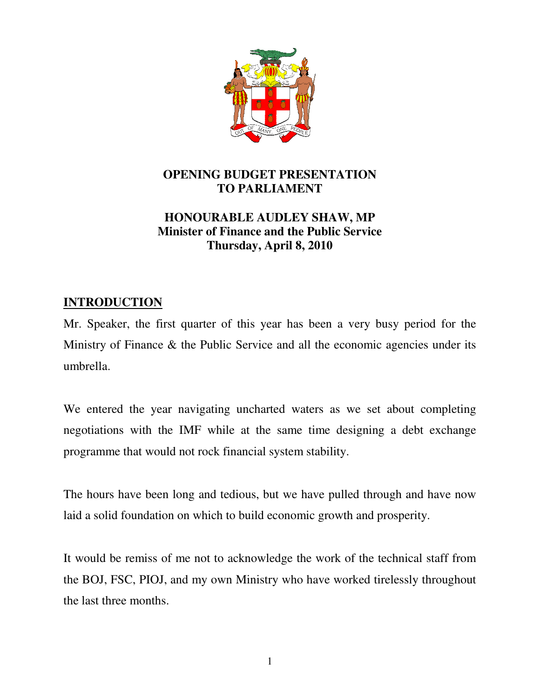

# **OPENING BUDGET PRESENTATION TO PARLIAMENT**

# **HONOURABLE AUDLEY SHAW, MP Minister of Finance and the Public Service Thursday, April 8, 2010**

# **INTRODUCTION**

Mr. Speaker, the first quarter of this year has been a very busy period for the Ministry of Finance & the Public Service and all the economic agencies under its umbrella.

We entered the year navigating uncharted waters as we set about completing negotiations with the IMF while at the same time designing a debt exchange programme that would not rock financial system stability.

The hours have been long and tedious, but we have pulled through and have now laid a solid foundation on which to build economic growth and prosperity.

It would be remiss of me not to acknowledge the work of the technical staff from the BOJ, FSC, PIOJ, and my own Ministry who have worked tirelessly throughout the last three months.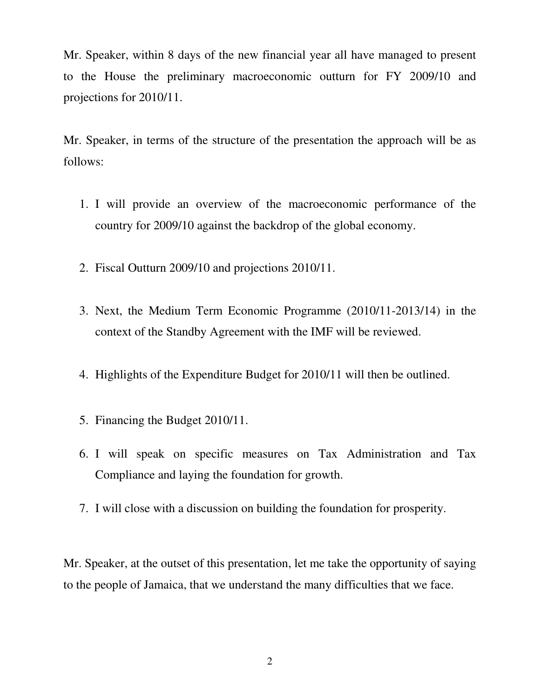Mr. Speaker, within 8 days of the new financial year all have managed to present to the House the preliminary macroeconomic outturn for FY 2009/10 and projections for 2010/11.

Mr. Speaker, in terms of the structure of the presentation the approach will be as follows:

- 1. I will provide an overview of the macroeconomic performance of the country for 2009/10 against the backdrop of the global economy.
- 2. Fiscal Outturn 2009/10 and projections 2010/11.
- 3. Next, the Medium Term Economic Programme (2010/11-2013/14) in the context of the Standby Agreement with the IMF will be reviewed.
- 4. Highlights of the Expenditure Budget for 2010/11 will then be outlined.
- 5. Financing the Budget 2010/11.
- 6. I will speak on specific measures on Tax Administration and Tax Compliance and laying the foundation for growth.
- 7. I will close with a discussion on building the foundation for prosperity.

Mr. Speaker, at the outset of this presentation, let me take the opportunity of saying to the people of Jamaica, that we understand the many difficulties that we face.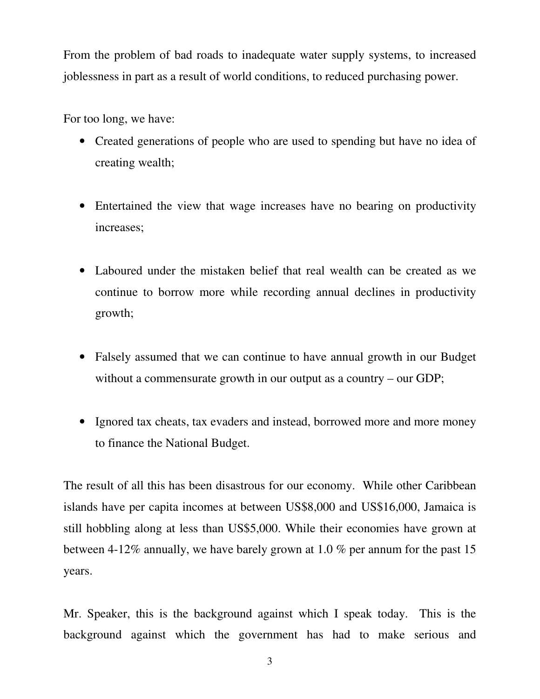From the problem of bad roads to inadequate water supply systems, to increased joblessness in part as a result of world conditions, to reduced purchasing power.

For too long, we have:

- Created generations of people who are used to spending but have no idea of creating wealth;
- Entertained the view that wage increases have no bearing on productivity increases;
- Laboured under the mistaken belief that real wealth can be created as we continue to borrow more while recording annual declines in productivity growth;
- Falsely assumed that we can continue to have annual growth in our Budget without a commensurate growth in our output as a country – our GDP;
- Ignored tax cheats, tax evaders and instead, borrowed more and more money to finance the National Budget.

The result of all this has been disastrous for our economy. While other Caribbean islands have per capita incomes at between US\$8,000 and US\$16,000, Jamaica is still hobbling along at less than US\$5,000. While their economies have grown at between 4-12% annually, we have barely grown at 1.0 % per annum for the past 15 years.

Mr. Speaker, this is the background against which I speak today. This is the background against which the government has had to make serious and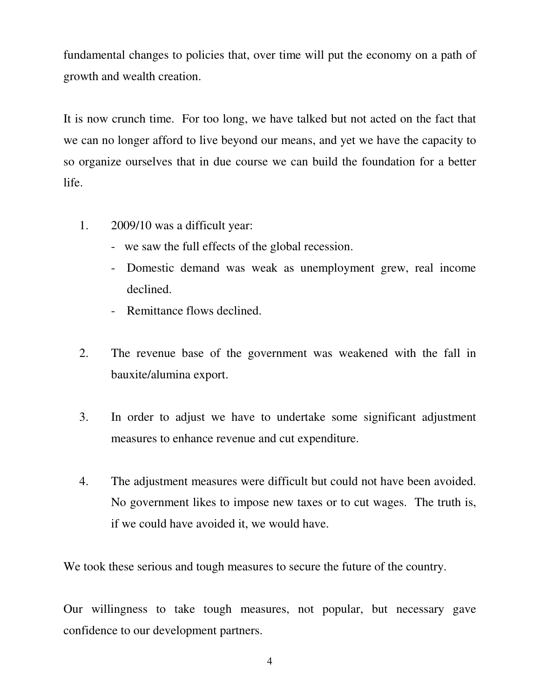fundamental changes to policies that, over time will put the economy on a path of growth and wealth creation.

It is now crunch time. For too long, we have talked but not acted on the fact that we can no longer afford to live beyond our means, and yet we have the capacity to so organize ourselves that in due course we can build the foundation for a better life.

- 1. 2009/10 was a difficult year:
	- we saw the full effects of the global recession.
	- Domestic demand was weak as unemployment grew, real income declined.
	- Remittance flows declined.
- 2. The revenue base of the government was weakened with the fall in bauxite/alumina export.
- 3. In order to adjust we have to undertake some significant adjustment measures to enhance revenue and cut expenditure.
- 4. The adjustment measures were difficult but could not have been avoided. No government likes to impose new taxes or to cut wages. The truth is, if we could have avoided it, we would have.

We took these serious and tough measures to secure the future of the country.

Our willingness to take tough measures, not popular, but necessary gave confidence to our development partners.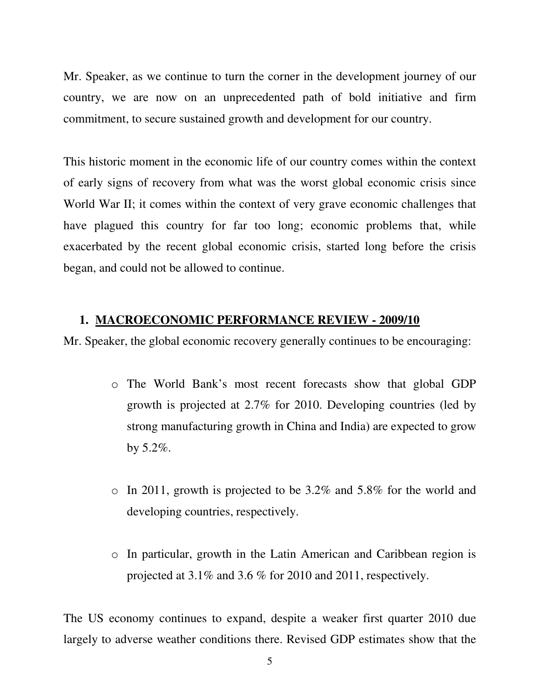Mr. Speaker, as we continue to turn the corner in the development journey of our country, we are now on an unprecedented path of bold initiative and firm commitment, to secure sustained growth and development for our country.

This historic moment in the economic life of our country comes within the context of early signs of recovery from what was the worst global economic crisis since World War II; it comes within the context of very grave economic challenges that have plagued this country for far too long; economic problems that, while exacerbated by the recent global economic crisis, started long before the crisis began, and could not be allowed to continue.

#### **1. MACROECONOMIC PERFORMANCE REVIEW - 2009/10**

Mr. Speaker, the global economic recovery generally continues to be encouraging:

- o The World Bank's most recent forecasts show that global GDP growth is projected at 2.7% for 2010. Developing countries (led by strong manufacturing growth in China and India) are expected to grow by 5.2%.
- o In 2011, growth is projected to be 3.2% and 5.8% for the world and developing countries, respectively.
- o In particular, growth in the Latin American and Caribbean region is projected at 3.1% and 3.6 % for 2010 and 2011, respectively.

The US economy continues to expand, despite a weaker first quarter 2010 due largely to adverse weather conditions there. Revised GDP estimates show that the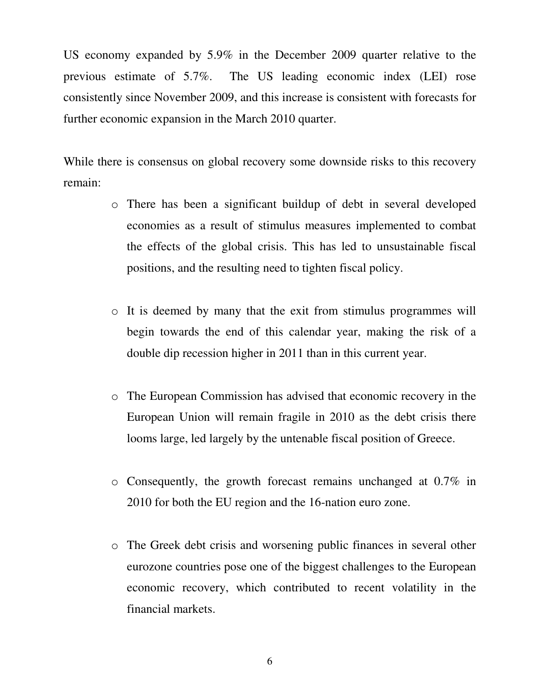US economy expanded by 5.9% in the December 2009 quarter relative to the previous estimate of 5.7%. The US leading economic index (LEI) rose consistently since November 2009, and this increase is consistent with forecasts for further economic expansion in the March 2010 quarter.

While there is consensus on global recovery some downside risks to this recovery remain:

- o There has been a significant buildup of debt in several developed economies as a result of stimulus measures implemented to combat the effects of the global crisis. This has led to unsustainable fiscal positions, and the resulting need to tighten fiscal policy.
- o It is deemed by many that the exit from stimulus programmes will begin towards the end of this calendar year, making the risk of a double dip recession higher in 2011 than in this current year.
- o The European Commission has advised that economic recovery in the European Union will remain fragile in 2010 as the debt crisis there looms large, led largely by the untenable fiscal position of Greece.
- o Consequently, the growth forecast remains unchanged at 0.7% in 2010 for both the EU region and the 16-nation euro zone.
- o The Greek debt crisis and worsening public finances in several other eurozone countries pose one of the biggest challenges to the European economic recovery, which contributed to recent volatility in the financial markets.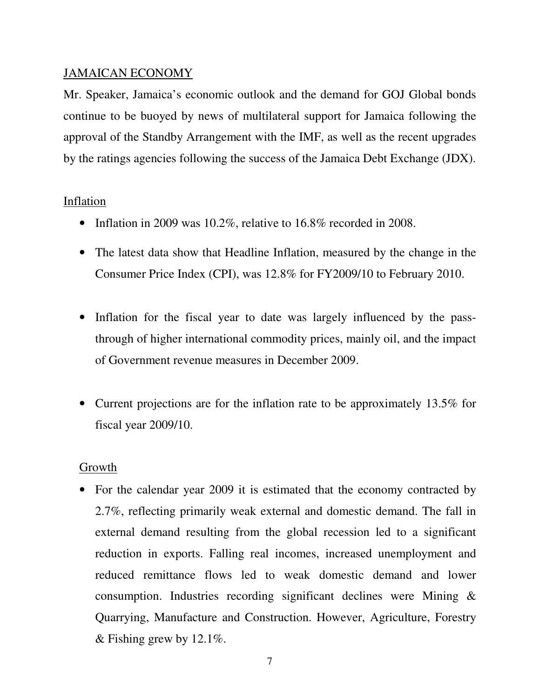# JAMAICAN ECONOMY

Mr. Speaker, Jamaica's economic outlook and the demand for GOJ Global bonds continue to be buoyed by news of multilateral support for Jamaica following the approval of the Standby Arrangement with the IMF, as well as the recent upgrades by the ratings agencies following the success of the Jamaica Debt Exchange (JDX).

# Inflation

- Inflation in 2009 was 10.2%, relative to 16.8% recorded in 2008.
- The latest data show that Headline Inflation, measured by the change in the Consumer Price Index (CPI), was 12.8% for FY2009/10 to February 2010.
- Inflation for the fiscal year to date was largely influenced by the passthrough of higher international commodity prices, mainly oil, and the impact of Government revenue measures in December 2009.
- Current projections are for the inflation rate to be approximately 13.5% for fiscal year 2009/10.

#### Growth

• For the calendar year 2009 it is estimated that the economy contracted by 2.7%, reflecting primarily weak external and domestic demand. The fall in external demand resulting from the global recession led to a significant reduction in exports. Falling real incomes, increased unemployment and reduced remittance flows led to weak domestic demand and lower consumption. Industries recording significant declines were Mining & Quarrying, Manufacture and Construction. However, Agriculture, Forestry & Fishing grew by  $12.1\%$ .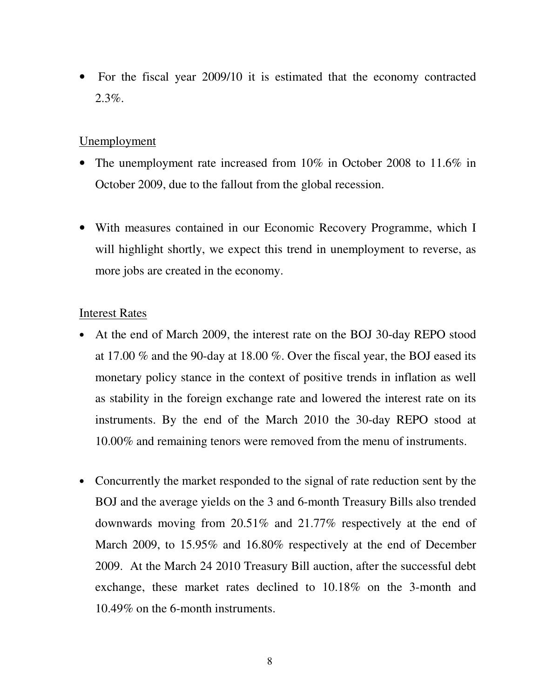• For the fiscal year 2009/10 it is estimated that the economy contracted 2.3%.

# Unemployment

- The unemployment rate increased from 10% in October 2008 to 11.6% in October 2009, due to the fallout from the global recession.
- With measures contained in our Economic Recovery Programme, which I will highlight shortly, we expect this trend in unemployment to reverse, as more jobs are created in the economy.

# Interest Rates

- At the end of March 2009, the interest rate on the BOJ 30-day REPO stood at 17.00 % and the 90-day at 18.00 %. Over the fiscal year, the BOJ eased its monetary policy stance in the context of positive trends in inflation as well as stability in the foreign exchange rate and lowered the interest rate on its instruments. By the end of the March 2010 the 30-day REPO stood at 10.00% and remaining tenors were removed from the menu of instruments.
- Concurrently the market responded to the signal of rate reduction sent by the BOJ and the average yields on the 3 and 6-month Treasury Bills also trended downwards moving from 20.51% and 21.77% respectively at the end of March 2009, to 15.95% and 16.80% respectively at the end of December 2009. At the March 24 2010 Treasury Bill auction, after the successful debt exchange, these market rates declined to 10.18% on the 3-month and 10.49% on the 6-month instruments.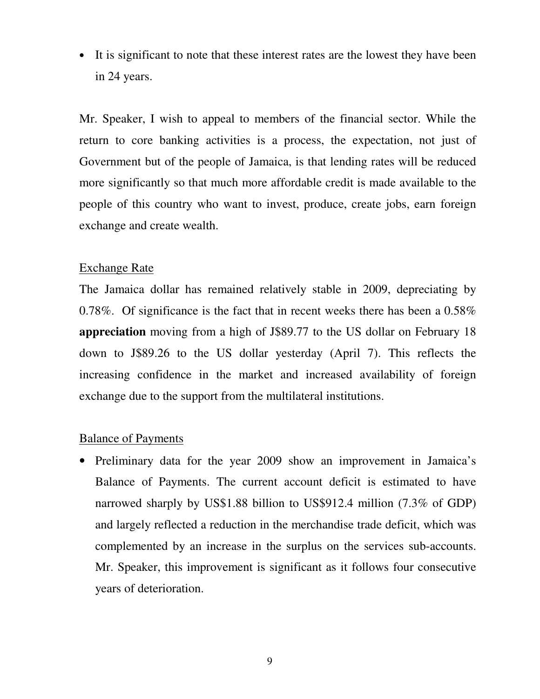• It is significant to note that these interest rates are the lowest they have been in 24 years.

Mr. Speaker, I wish to appeal to members of the financial sector. While the return to core banking activities is a process, the expectation, not just of Government but of the people of Jamaica, is that lending rates will be reduced more significantly so that much more affordable credit is made available to the people of this country who want to invest, produce, create jobs, earn foreign exchange and create wealth.

#### Exchange Rate

The Jamaica dollar has remained relatively stable in 2009, depreciating by 0.78%. Of significance is the fact that in recent weeks there has been a 0.58% **appreciation** moving from a high of J\$89.77 to the US dollar on February 18 down to J\$89.26 to the US dollar yesterday (April 7). This reflects the increasing confidence in the market and increased availability of foreign exchange due to the support from the multilateral institutions.

## Balance of Payments

• Preliminary data for the year 2009 show an improvement in Jamaica's Balance of Payments. The current account deficit is estimated to have narrowed sharply by US\$1.88 billion to US\$912.4 million (7.3% of GDP) and largely reflected a reduction in the merchandise trade deficit, which was complemented by an increase in the surplus on the services sub-accounts. Mr. Speaker, this improvement is significant as it follows four consecutive years of deterioration.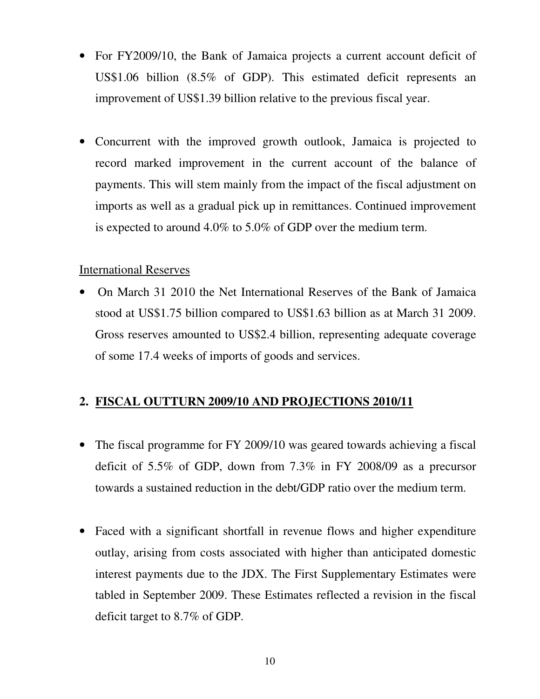- For FY2009/10, the Bank of Jamaica projects a current account deficit of US\$1.06 billion (8.5% of GDP). This estimated deficit represents an improvement of US\$1.39 billion relative to the previous fiscal year.
- Concurrent with the improved growth outlook, Jamaica is projected to record marked improvement in the current account of the balance of payments. This will stem mainly from the impact of the fiscal adjustment on imports as well as a gradual pick up in remittances. Continued improvement is expected to around 4.0% to 5.0% of GDP over the medium term.

# International Reserves

• On March 31 2010 the Net International Reserves of the Bank of Jamaica stood at US\$1.75 billion compared to US\$1.63 billion as at March 31 2009. Gross reserves amounted to US\$2.4 billion, representing adequate coverage of some 17.4 weeks of imports of goods and services.

# **2. FISCAL OUTTURN 2009/10 AND PROJECTIONS 2010/11**

- The fiscal programme for FY 2009/10 was geared towards achieving a fiscal deficit of 5.5% of GDP, down from 7.3% in FY 2008/09 as a precursor towards a sustained reduction in the debt/GDP ratio over the medium term.
- Faced with a significant shortfall in revenue flows and higher expenditure outlay, arising from costs associated with higher than anticipated domestic interest payments due to the JDX. The First Supplementary Estimates were tabled in September 2009. These Estimates reflected a revision in the fiscal deficit target to 8.7% of GDP.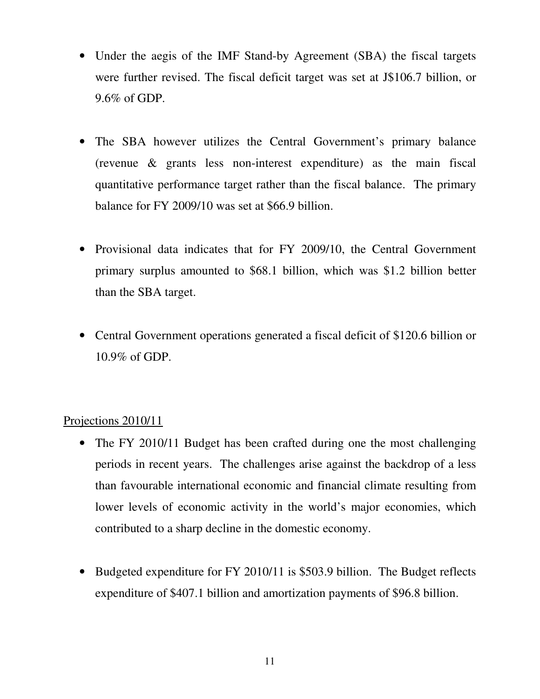- Under the aegis of the IMF Stand-by Agreement (SBA) the fiscal targets were further revised. The fiscal deficit target was set at J\$106.7 billion, or 9.6% of GDP.
- The SBA however utilizes the Central Government's primary balance (revenue & grants less non-interest expenditure) as the main fiscal quantitative performance target rather than the fiscal balance. The primary balance for FY 2009/10 was set at \$66.9 billion.
- Provisional data indicates that for FY 2009/10, the Central Government primary surplus amounted to \$68.1 billion, which was \$1.2 billion better than the SBA target.
- Central Government operations generated a fiscal deficit of \$120.6 billion or 10.9% of GDP.

# Projections 2010/11

- The FY 2010/11 Budget has been crafted during one the most challenging periods in recent years. The challenges arise against the backdrop of a less than favourable international economic and financial climate resulting from lower levels of economic activity in the world's major economies, which contributed to a sharp decline in the domestic economy.
- Budgeted expenditure for FY 2010/11 is \$503.9 billion. The Budget reflects expenditure of \$407.1 billion and amortization payments of \$96.8 billion.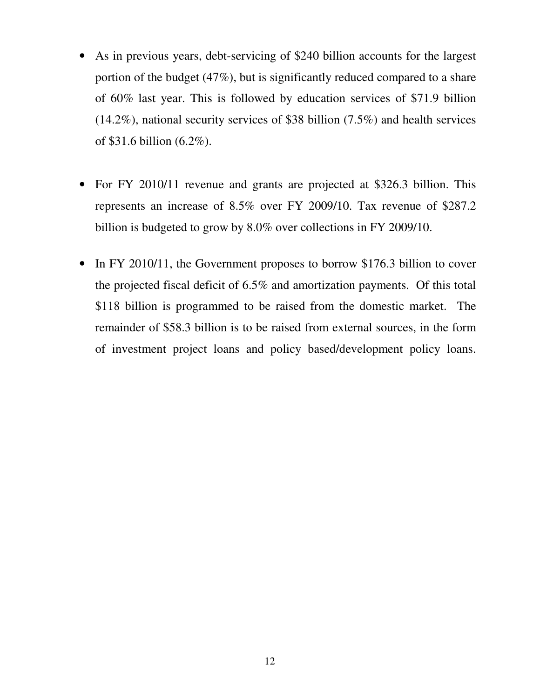- As in previous years, debt-servicing of \$240 billion accounts for the largest portion of the budget (47%), but is significantly reduced compared to a share of 60% last year. This is followed by education services of \$71.9 billion (14.2%), national security services of \$38 billion (7.5%) and health services of \$31.6 billion (6.2%).
- For FY 2010/11 revenue and grants are projected at \$326.3 billion. This represents an increase of 8.5% over FY 2009/10. Tax revenue of \$287.2 billion is budgeted to grow by 8.0% over collections in FY 2009/10.
- In FY 2010/11, the Government proposes to borrow \$176.3 billion to cover the projected fiscal deficit of 6.5% and amortization payments. Of this total \$118 billion is programmed to be raised from the domestic market. The remainder of \$58.3 billion is to be raised from external sources, in the form of investment project loans and policy based/development policy loans.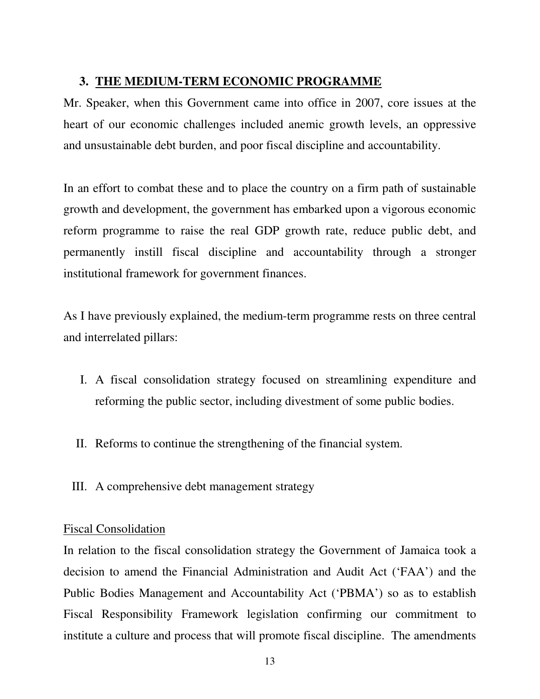# **3. THE MEDIUM-TERM ECONOMIC PROGRAMME**

Mr. Speaker, when this Government came into office in 2007, core issues at the heart of our economic challenges included anemic growth levels, an oppressive and unsustainable debt burden, and poor fiscal discipline and accountability.

In an effort to combat these and to place the country on a firm path of sustainable growth and development, the government has embarked upon a vigorous economic reform programme to raise the real GDP growth rate, reduce public debt, and permanently instill fiscal discipline and accountability through a stronger institutional framework for government finances.

As I have previously explained, the medium-term programme rests on three central and interrelated pillars:

- I. A fiscal consolidation strategy focused on streamlining expenditure and reforming the public sector, including divestment of some public bodies.
- II. Reforms to continue the strengthening of the financial system.
- III. A comprehensive debt management strategy

#### Fiscal Consolidation

In relation to the fiscal consolidation strategy the Government of Jamaica took a decision to amend the Financial Administration and Audit Act ('FAA') and the Public Bodies Management and Accountability Act ('PBMA') so as to establish Fiscal Responsibility Framework legislation confirming our commitment to institute a culture and process that will promote fiscal discipline. The amendments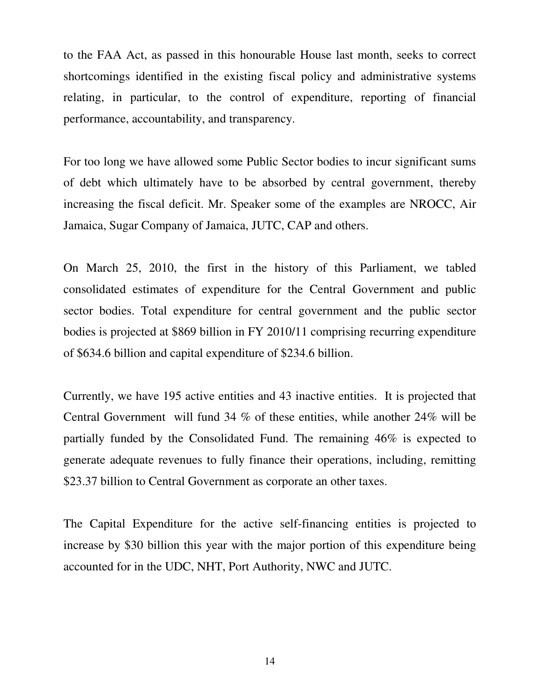to the FAA Act, as passed in this honourable House last month, seeks to correct shortcomings identified in the existing fiscal policy and administrative systems relating, in particular, to the control of expenditure, reporting of financial performance, accountability, and transparency.

For too long we have allowed some Public Sector bodies to incur significant sums of debt which ultimately have to be absorbed by central government, thereby increasing the fiscal deficit. Mr. Speaker some of the examples are NROCC, Air Jamaica, Sugar Company of Jamaica, JUTC, CAP and others.

On March 25, 2010, the first in the history of this Parliament, we tabled consolidated estimates of expenditure for the Central Government and public sector bodies. Total expenditure for central government and the public sector bodies is projected at \$869 billion in FY 2010/11 comprising recurring expenditure of \$634.6 billion and capital expenditure of \$234.6 billion.

Currently, we have 195 active entities and 43 inactive entities. It is projected that Central Government will fund 34 % of these entities, while another 24% will be partially funded by the Consolidated Fund. The remaining 46% is expected to generate adequate revenues to fully finance their operations, including, remitting \$23.37 billion to Central Government as corporate an other taxes.

The Capital Expenditure for the active self-financing entities is projected to increase by \$30 billion this year with the major portion of this expenditure being accounted for in the UDC, NHT, Port Authority, NWC and JUTC.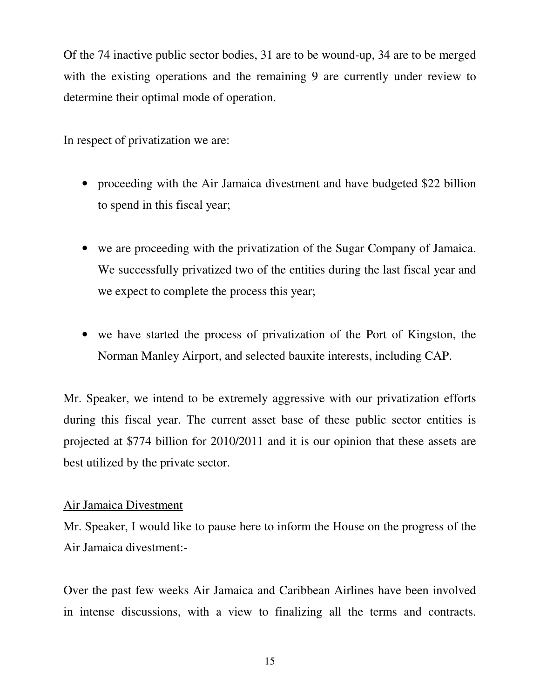Of the 74 inactive public sector bodies, 31 are to be wound-up, 34 are to be merged with the existing operations and the remaining 9 are currently under review to determine their optimal mode of operation.

In respect of privatization we are:

- proceeding with the Air Jamaica divestment and have budgeted \$22 billion to spend in this fiscal year;
- we are proceeding with the privatization of the Sugar Company of Jamaica. We successfully privatized two of the entities during the last fiscal year and we expect to complete the process this year;
- we have started the process of privatization of the Port of Kingston, the Norman Manley Airport, and selected bauxite interests, including CAP.

Mr. Speaker, we intend to be extremely aggressive with our privatization efforts during this fiscal year. The current asset base of these public sector entities is projected at \$774 billion for 2010/2011 and it is our opinion that these assets are best utilized by the private sector.

#### Air Jamaica Divestment

Mr. Speaker, I would like to pause here to inform the House on the progress of the Air Jamaica divestment:-

Over the past few weeks Air Jamaica and Caribbean Airlines have been involved in intense discussions, with a view to finalizing all the terms and contracts.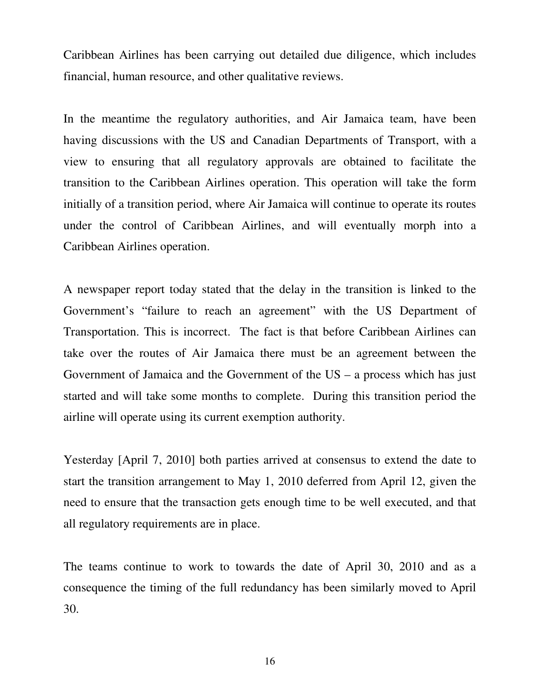Caribbean Airlines has been carrying out detailed due diligence, which includes financial, human resource, and other qualitative reviews.

In the meantime the regulatory authorities, and Air Jamaica team, have been having discussions with the US and Canadian Departments of Transport, with a view to ensuring that all regulatory approvals are obtained to facilitate the transition to the Caribbean Airlines operation. This operation will take the form initially of a transition period, where Air Jamaica will continue to operate its routes under the control of Caribbean Airlines, and will eventually morph into a Caribbean Airlines operation.

A newspaper report today stated that the delay in the transition is linked to the Government's "failure to reach an agreement" with the US Department of Transportation. This is incorrect. The fact is that before Caribbean Airlines can take over the routes of Air Jamaica there must be an agreement between the Government of Jamaica and the Government of the US – a process which has just started and will take some months to complete. During this transition period the airline will operate using its current exemption authority.

Yesterday [April 7, 2010] both parties arrived at consensus to extend the date to start the transition arrangement to May 1, 2010 deferred from April 12, given the need to ensure that the transaction gets enough time to be well executed, and that all regulatory requirements are in place.

The teams continue to work to towards the date of April 30, 2010 and as a consequence the timing of the full redundancy has been similarly moved to April 30.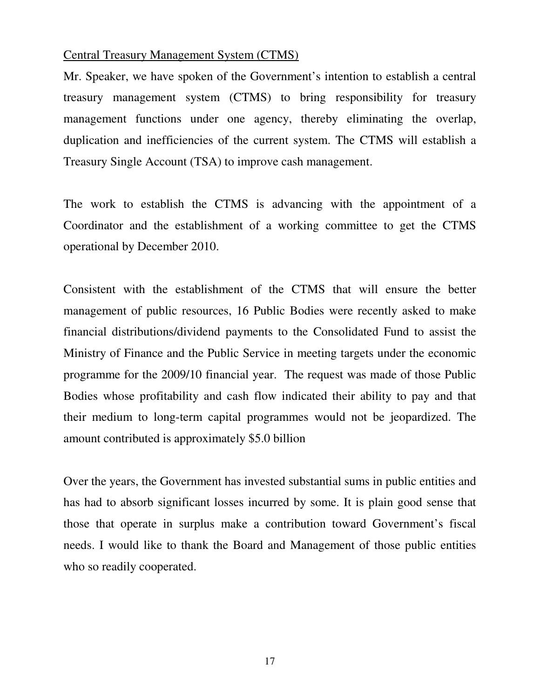#### Central Treasury Management System (CTMS)

Mr. Speaker, we have spoken of the Government's intention to establish a central treasury management system (CTMS) to bring responsibility for treasury management functions under one agency, thereby eliminating the overlap, duplication and inefficiencies of the current system. The CTMS will establish a Treasury Single Account (TSA) to improve cash management.

The work to establish the CTMS is advancing with the appointment of a Coordinator and the establishment of a working committee to get the CTMS operational by December 2010.

Consistent with the establishment of the CTMS that will ensure the better management of public resources, 16 Public Bodies were recently asked to make financial distributions/dividend payments to the Consolidated Fund to assist the Ministry of Finance and the Public Service in meeting targets under the economic programme for the 2009/10 financial year. The request was made of those Public Bodies whose profitability and cash flow indicated their ability to pay and that their medium to long-term capital programmes would not be jeopardized. The amount contributed is approximately \$5.0 billion

Over the years, the Government has invested substantial sums in public entities and has had to absorb significant losses incurred by some. It is plain good sense that those that operate in surplus make a contribution toward Government's fiscal needs. I would like to thank the Board and Management of those public entities who so readily cooperated.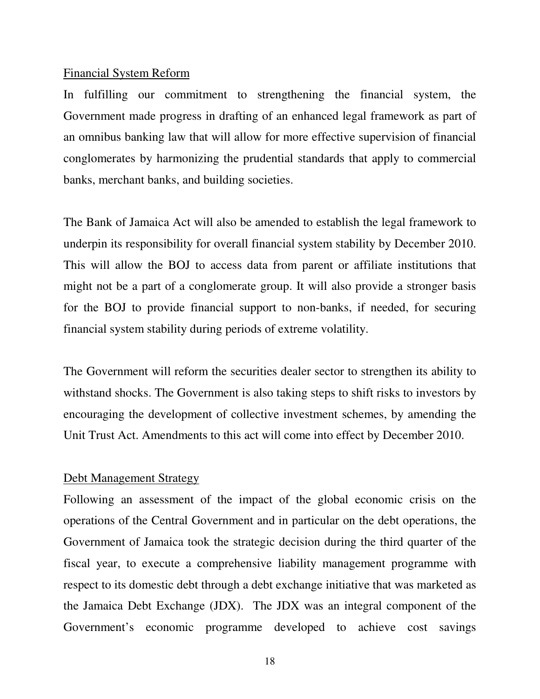#### Financial System Reform

In fulfilling our commitment to strengthening the financial system, the Government made progress in drafting of an enhanced legal framework as part of an omnibus banking law that will allow for more effective supervision of financial conglomerates by harmonizing the prudential standards that apply to commercial banks, merchant banks, and building societies.

The Bank of Jamaica Act will also be amended to establish the legal framework to underpin its responsibility for overall financial system stability by December 2010. This will allow the BOJ to access data from parent or affiliate institutions that might not be a part of a conglomerate group. It will also provide a stronger basis for the BOJ to provide financial support to non-banks, if needed, for securing financial system stability during periods of extreme volatility.

The Government will reform the securities dealer sector to strengthen its ability to withstand shocks. The Government is also taking steps to shift risks to investors by encouraging the development of collective investment schemes, by amending the Unit Trust Act. Amendments to this act will come into effect by December 2010.

#### Debt Management Strategy

Following an assessment of the impact of the global economic crisis on the operations of the Central Government and in particular on the debt operations, the Government of Jamaica took the strategic decision during the third quarter of the fiscal year, to execute a comprehensive liability management programme with respect to its domestic debt through a debt exchange initiative that was marketed as the Jamaica Debt Exchange (JDX). The JDX was an integral component of the Government's economic programme developed to achieve cost savings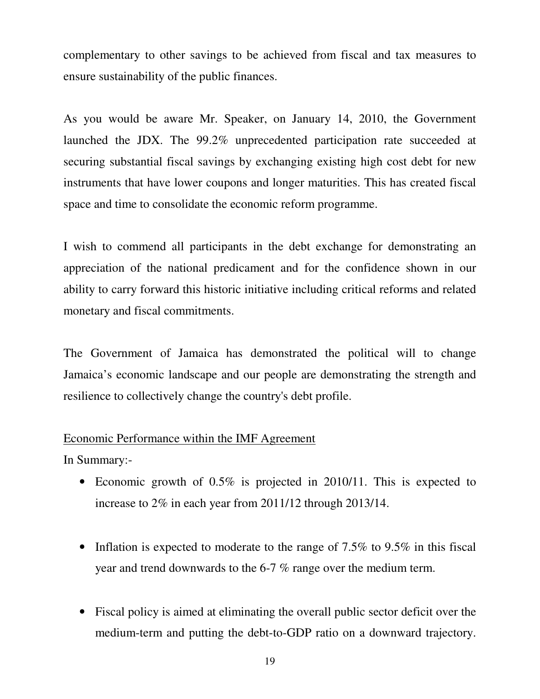complementary to other savings to be achieved from fiscal and tax measures to ensure sustainability of the public finances.

As you would be aware Mr. Speaker, on January 14, 2010, the Government launched the JDX. The 99.2% unprecedented participation rate succeeded at securing substantial fiscal savings by exchanging existing high cost debt for new instruments that have lower coupons and longer maturities. This has created fiscal space and time to consolidate the economic reform programme.

I wish to commend all participants in the debt exchange for demonstrating an appreciation of the national predicament and for the confidence shown in our ability to carry forward this historic initiative including critical reforms and related monetary and fiscal commitments.

The Government of Jamaica has demonstrated the political will to change Jamaica's economic landscape and our people are demonstrating the strength and resilience to collectively change the country's debt profile.

# Economic Performance within the IMF Agreement

In Summary:-

- Economic growth of 0.5% is projected in 2010/11. This is expected to increase to 2% in each year from 2011/12 through 2013/14.
- Inflation is expected to moderate to the range of 7.5% to 9.5% in this fiscal year and trend downwards to the 6-7 % range over the medium term.
- Fiscal policy is aimed at eliminating the overall public sector deficit over the medium-term and putting the debt-to-GDP ratio on a downward trajectory.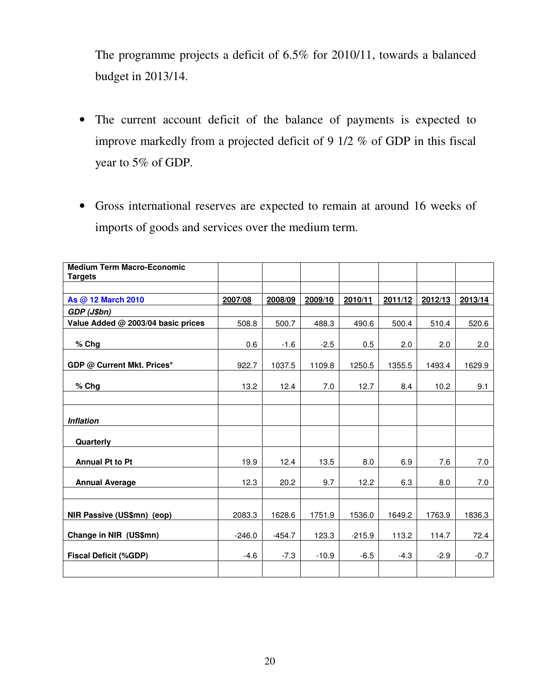The programme projects a deficit of 6.5% for 2010/11, towards a balanced budget in 2013/14.

- The current account deficit of the balance of payments is expected to improve markedly from a projected deficit of 9 1/2 % of GDP in this fiscal year to 5% of GDP.
- Gross international reserves are expected to remain at around 16 weeks of imports of goods and services over the medium term.

| <b>Medium Term Macro-Economic</b><br><b>Targets</b> |          |          |         |          |         |         |         |
|-----------------------------------------------------|----------|----------|---------|----------|---------|---------|---------|
|                                                     |          |          |         |          |         |         |         |
| As @ 12 March 2010                                  | 2007/08  | 2008/09  | 2009/10 | 2010/11  | 2011/12 | 2012/13 | 2013/14 |
| GDP (J\$bn)                                         |          |          |         |          |         |         |         |
| Value Added @ 2003/04 basic prices                  | 508.8    | 500.7    | 488.3   | 490.6    | 500.4   | 510.4   | 520.6   |
| % Chg                                               | 0.6      | $-1.6$   | $-2.5$  | 0.5      | 2.0     | 2.0     | 2.0     |
| GDP @ Current Mkt. Prices*                          | 922.7    | 1037.5   | 1109.8  | 1250.5   | 1355.5  | 1493.4  | 1629.9  |
| $%$ Chg                                             | 13.2     | 12.4     | 7.0     | 12.7     | 8.4     | 10.2    | 9.1     |
|                                                     |          |          |         |          |         |         |         |
| <b>Inflation</b>                                    |          |          |         |          |         |         |         |
| Quarterly                                           |          |          |         |          |         |         |         |
| <b>Annual Pt to Pt</b>                              | 19.9     | 12.4     | 13.5    | 8.0      | 6.9     | 7.6     | 7.0     |
| <b>Annual Average</b>                               | 12.3     | 20.2     | 9.7     | 12.2     | 6.3     | 8.0     | 7.0     |
|                                                     |          |          |         |          |         |         |         |
| NIR Passive (US\$mn) (eop)                          | 2083.3   | 1628.6   | 1751.9  | 1536.0   | 1649.2  | 1763.9  | 1836.3  |
| Change in NIR (US\$mn)                              | $-246.0$ | $-454.7$ | 123.3   | $-215.9$ | 113.2   | 114.7   | 72.4    |
| <b>Fiscal Deficit (%GDP)</b>                        | $-4.6$   | $-7.3$   | $-10.9$ | $-6.5$   | $-4.3$  | $-2.9$  | $-0.7$  |
|                                                     |          |          |         |          |         |         |         |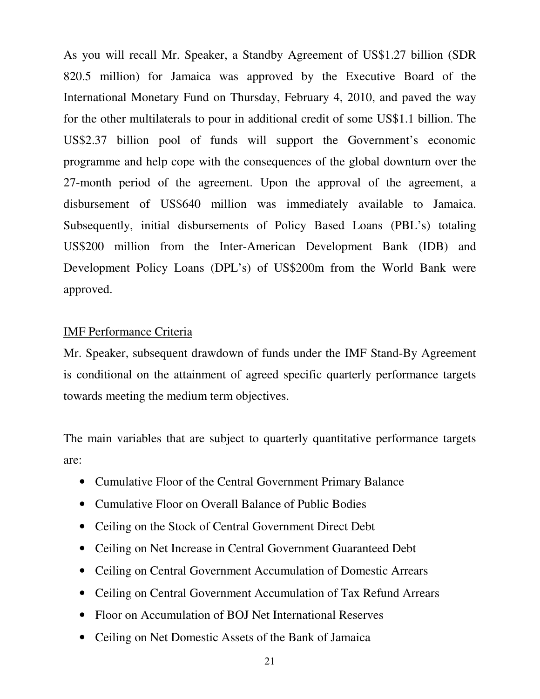As you will recall Mr. Speaker, a Standby Agreement of US\$1.27 billion (SDR 820.5 million) for Jamaica was approved by the Executive Board of the International Monetary Fund on Thursday, February 4, 2010, and paved the way for the other multilaterals to pour in additional credit of some US\$1.1 billion. The US\$2.37 billion pool of funds will support the Government's economic programme and help cope with the consequences of the global downturn over the 27-month period of the agreement. Upon the approval of the agreement, a disbursement of US\$640 million was immediately available to Jamaica. Subsequently, initial disbursements of Policy Based Loans (PBL's) totaling US\$200 million from the Inter-American Development Bank (IDB) and Development Policy Loans (DPL's) of US\$200m from the World Bank were approved.

# IMF Performance Criteria

Mr. Speaker, subsequent drawdown of funds under the IMF Stand-By Agreement is conditional on the attainment of agreed specific quarterly performance targets towards meeting the medium term objectives.

The main variables that are subject to quarterly quantitative performance targets are:

- Cumulative Floor of the Central Government Primary Balance
- Cumulative Floor on Overall Balance of Public Bodies
- Ceiling on the Stock of Central Government Direct Debt
- Ceiling on Net Increase in Central Government Guaranteed Debt
- Ceiling on Central Government Accumulation of Domestic Arrears
- Ceiling on Central Government Accumulation of Tax Refund Arrears
- Floor on Accumulation of BOJ Net International Reserves
- Ceiling on Net Domestic Assets of the Bank of Jamaica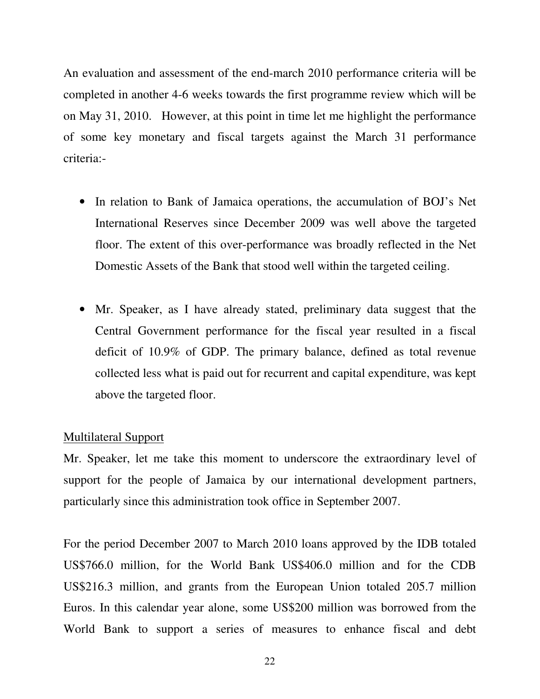An evaluation and assessment of the end-march 2010 performance criteria will be completed in another 4-6 weeks towards the first programme review which will be on May 31, 2010. However, at this point in time let me highlight the performance of some key monetary and fiscal targets against the March 31 performance criteria:-

- In relation to Bank of Jamaica operations, the accumulation of BOJ's Net International Reserves since December 2009 was well above the targeted floor. The extent of this over-performance was broadly reflected in the Net Domestic Assets of the Bank that stood well within the targeted ceiling.
- Mr. Speaker, as I have already stated, preliminary data suggest that the Central Government performance for the fiscal year resulted in a fiscal deficit of 10.9% of GDP. The primary balance, defined as total revenue collected less what is paid out for recurrent and capital expenditure, was kept above the targeted floor.

#### Multilateral Support

Mr. Speaker, let me take this moment to underscore the extraordinary level of support for the people of Jamaica by our international development partners, particularly since this administration took office in September 2007.

For the period December 2007 to March 2010 loans approved by the IDB totaled US\$766.0 million, for the World Bank US\$406.0 million and for the CDB US\$216.3 million, and grants from the European Union totaled 205.7 million Euros. In this calendar year alone, some US\$200 million was borrowed from the World Bank to support a series of measures to enhance fiscal and debt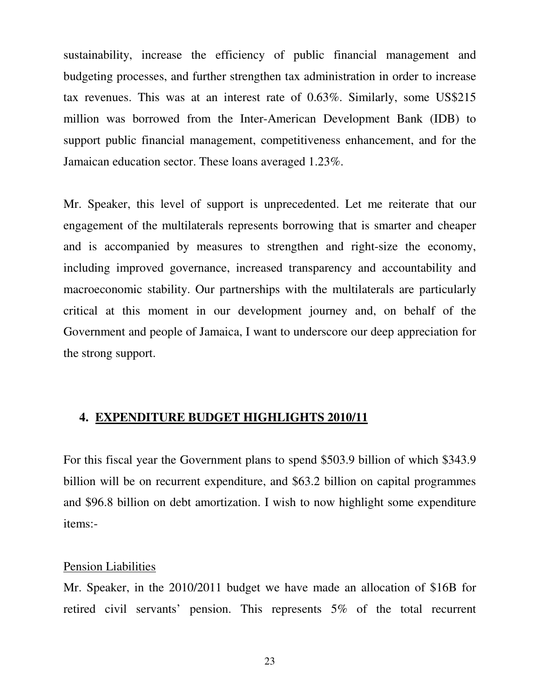sustainability, increase the efficiency of public financial management and budgeting processes, and further strengthen tax administration in order to increase tax revenues. This was at an interest rate of 0.63%. Similarly, some US\$215 million was borrowed from the Inter-American Development Bank (IDB) to support public financial management, competitiveness enhancement, and for the Jamaican education sector. These loans averaged 1.23%.

Mr. Speaker, this level of support is unprecedented. Let me reiterate that our engagement of the multilaterals represents borrowing that is smarter and cheaper and is accompanied by measures to strengthen and right-size the economy, including improved governance, increased transparency and accountability and macroeconomic stability. Our partnerships with the multilaterals are particularly critical at this moment in our development journey and, on behalf of the Government and people of Jamaica, I want to underscore our deep appreciation for the strong support.

#### **4. EXPENDITURE BUDGET HIGHLIGHTS 2010/11**

For this fiscal year the Government plans to spend \$503.9 billion of which \$343.9 billion will be on recurrent expenditure, and \$63.2 billion on capital programmes and \$96.8 billion on debt amortization. I wish to now highlight some expenditure items:-

#### Pension Liabilities

Mr. Speaker, in the 2010/2011 budget we have made an allocation of \$16B for retired civil servants' pension. This represents 5% of the total recurrent

23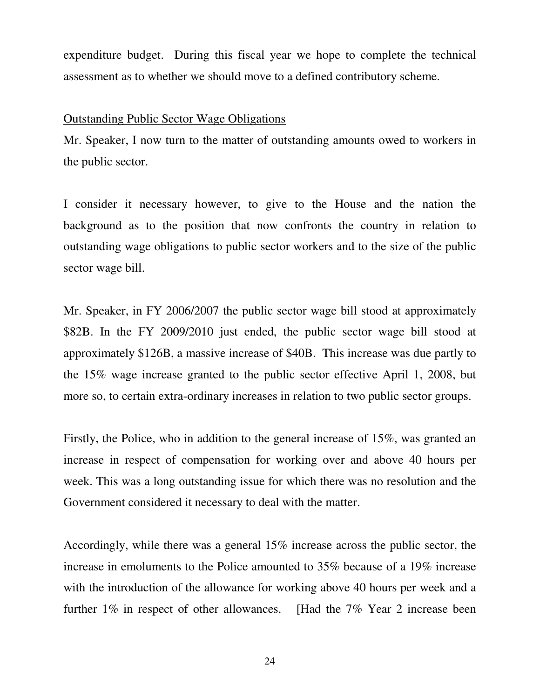expenditure budget. During this fiscal year we hope to complete the technical assessment as to whether we should move to a defined contributory scheme.

#### Outstanding Public Sector Wage Obligations

Mr. Speaker, I now turn to the matter of outstanding amounts owed to workers in the public sector.

I consider it necessary however, to give to the House and the nation the background as to the position that now confronts the country in relation to outstanding wage obligations to public sector workers and to the size of the public sector wage bill.

Mr. Speaker, in FY 2006/2007 the public sector wage bill stood at approximately \$82B. In the FY 2009/2010 just ended, the public sector wage bill stood at approximately \$126B, a massive increase of \$40B. This increase was due partly to the 15% wage increase granted to the public sector effective April 1, 2008, but more so, to certain extra-ordinary increases in relation to two public sector groups.

Firstly, the Police, who in addition to the general increase of 15%, was granted an increase in respect of compensation for working over and above 40 hours per week. This was a long outstanding issue for which there was no resolution and the Government considered it necessary to deal with the matter.

Accordingly, while there was a general 15% increase across the public sector, the increase in emoluments to the Police amounted to 35% because of a 19% increase with the introduction of the allowance for working above 40 hours per week and a further 1% in respect of other allowances. [Had the 7% Year 2 increase been

24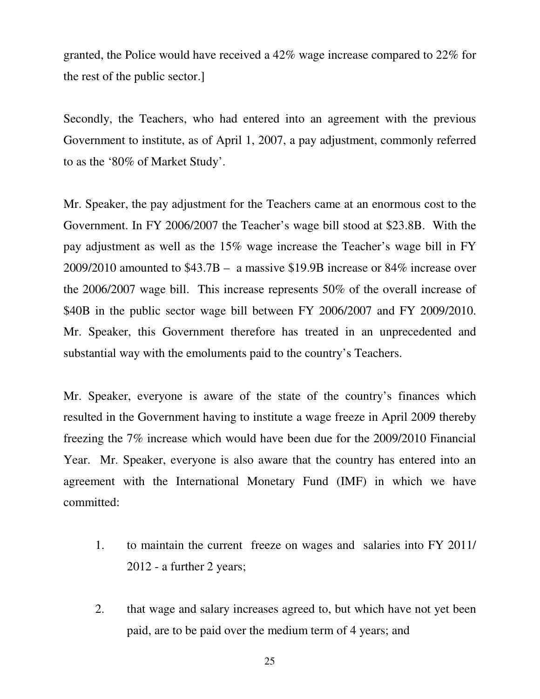granted, the Police would have received a 42% wage increase compared to 22% for the rest of the public sector.]

Secondly, the Teachers, who had entered into an agreement with the previous Government to institute, as of April 1, 2007, a pay adjustment, commonly referred to as the '80% of Market Study'.

Mr. Speaker, the pay adjustment for the Teachers came at an enormous cost to the Government. In FY 2006/2007 the Teacher's wage bill stood at \$23.8B. With the pay adjustment as well as the 15% wage increase the Teacher's wage bill in FY 2009/2010 amounted to \$43.7B – a massive \$19.9B increase or 84% increase over the 2006/2007 wage bill. This increase represents 50% of the overall increase of \$40B in the public sector wage bill between FY 2006/2007 and FY 2009/2010. Mr. Speaker, this Government therefore has treated in an unprecedented and substantial way with the emoluments paid to the country's Teachers.

Mr. Speaker, everyone is aware of the state of the country's finances which resulted in the Government having to institute a wage freeze in April 2009 thereby freezing the 7% increase which would have been due for the 2009/2010 Financial Year. Mr. Speaker, everyone is also aware that the country has entered into an agreement with the International Monetary Fund (IMF) in which we have committed:

- 1. to maintain the current freeze on wages and salaries into FY 2011/ 2012 - a further 2 years;
- 2. that wage and salary increases agreed to, but which have not yet been paid, are to be paid over the medium term of 4 years; and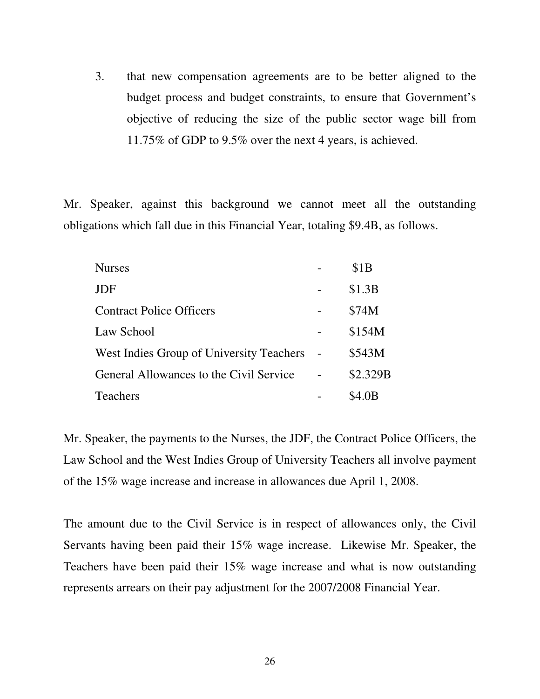3. that new compensation agreements are to be better aligned to the budget process and budget constraints, to ensure that Government's objective of reducing the size of the public sector wage bill from 11.75% of GDP to 9.5% over the next 4 years, is achieved.

Mr. Speaker, against this background we cannot meet all the outstanding obligations which fall due in this Financial Year, totaling \$9.4B, as follows.

| <b>Nurses</b>                            | \$1B     |
|------------------------------------------|----------|
| JDF                                      | \$1.3B   |
| <b>Contract Police Officers</b>          | \$74M    |
| Law School                               | \$154M   |
| West Indies Group of University Teachers | \$543M   |
| General Allowances to the Civil Service  | \$2.329B |
| <b>Teachers</b>                          | \$4 OB   |

Mr. Speaker, the payments to the Nurses, the JDF, the Contract Police Officers, the Law School and the West Indies Group of University Teachers all involve payment of the 15% wage increase and increase in allowances due April 1, 2008.

The amount due to the Civil Service is in respect of allowances only, the Civil Servants having been paid their 15% wage increase. Likewise Mr. Speaker, the Teachers have been paid their 15% wage increase and what is now outstanding represents arrears on their pay adjustment for the 2007/2008 Financial Year.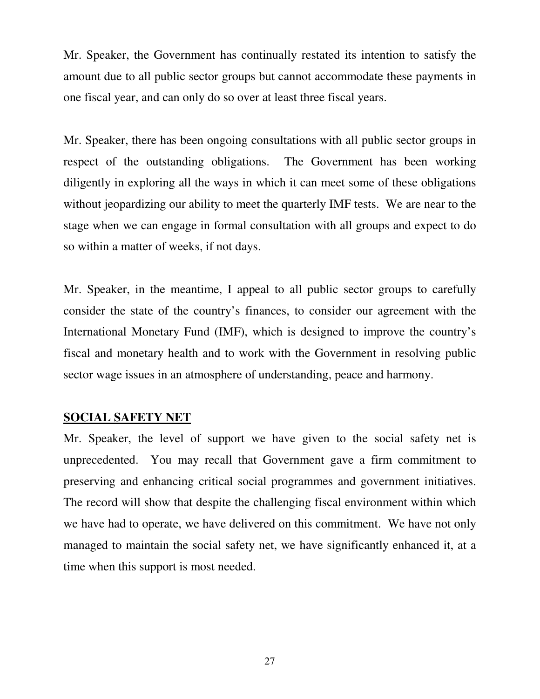Mr. Speaker, the Government has continually restated its intention to satisfy the amount due to all public sector groups but cannot accommodate these payments in one fiscal year, and can only do so over at least three fiscal years.

Mr. Speaker, there has been ongoing consultations with all public sector groups in respect of the outstanding obligations. The Government has been working diligently in exploring all the ways in which it can meet some of these obligations without jeopardizing our ability to meet the quarterly IMF tests. We are near to the stage when we can engage in formal consultation with all groups and expect to do so within a matter of weeks, if not days.

Mr. Speaker, in the meantime, I appeal to all public sector groups to carefully consider the state of the country's finances, to consider our agreement with the International Monetary Fund (IMF), which is designed to improve the country's fiscal and monetary health and to work with the Government in resolving public sector wage issues in an atmosphere of understanding, peace and harmony.

#### **SOCIAL SAFETY NET**

Mr. Speaker, the level of support we have given to the social safety net is unprecedented. You may recall that Government gave a firm commitment to preserving and enhancing critical social programmes and government initiatives. The record will show that despite the challenging fiscal environment within which we have had to operate, we have delivered on this commitment. We have not only managed to maintain the social safety net, we have significantly enhanced it, at a time when this support is most needed.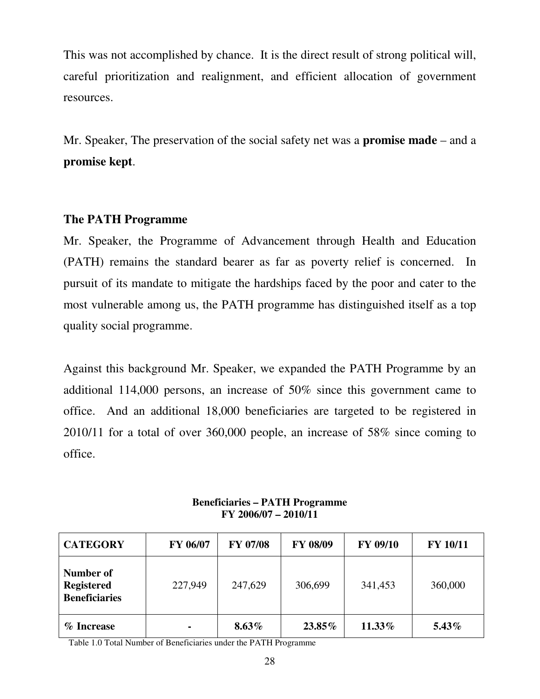This was not accomplished by chance. It is the direct result of strong political will, careful prioritization and realignment, and efficient allocation of government resources.

Mr. Speaker, The preservation of the social safety net was a **promise made** – and a **promise kept**.

# **The PATH Programme**

Mr. Speaker, the Programme of Advancement through Health and Education (PATH) remains the standard bearer as far as poverty relief is concerned. In pursuit of its mandate to mitigate the hardships faced by the poor and cater to the most vulnerable among us, the PATH programme has distinguished itself as a top quality social programme.

Against this background Mr. Speaker, we expanded the PATH Programme by an additional 114,000 persons, an increase of 50% since this government came to office. And an additional 18,000 beneficiaries are targeted to be registered in 2010/11 for a total of over 360,000 people, an increase of 58% since coming to office.

| <b>CATEGORY</b>                                        | FY 06/07       | <b>FY 07/08</b> | FY 08/09 | FY 09/10 | <b>FY 10/11</b> |
|--------------------------------------------------------|----------------|-----------------|----------|----------|-----------------|
| Number of<br><b>Registered</b><br><b>Beneficiaries</b> | 227,949        | 247,629         | 306,699  | 341,453  | 360,000         |
| % Increase                                             | $\blacksquare$ | $8.63\%$        | 23.85%   | 11.33%   | $5.43\%$        |

**Beneficiaries – PATH Programme FY 2006/07 – 2010/11** 

Table 1.0 Total Number of Beneficiaries under the PATH Programme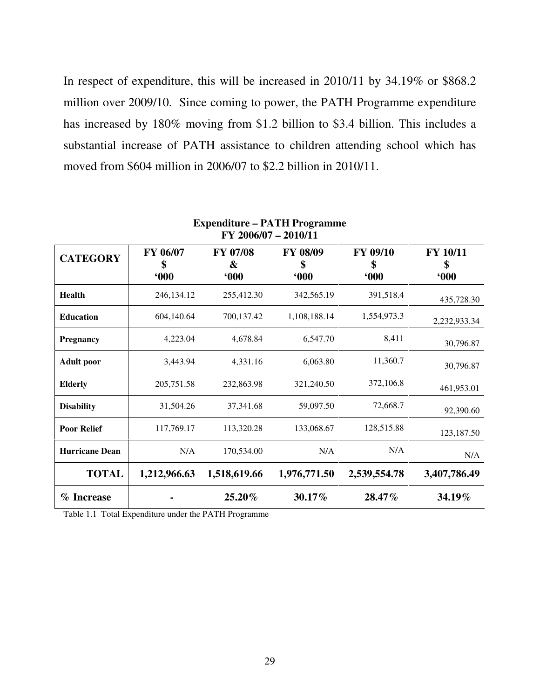In respect of expenditure, this will be increased in 2010/11 by 34.19% or \$868.2 million over 2009/10. Since coming to power, the PATH Programme expenditure has increased by 180% moving from \$1.2 billion to \$3.4 billion. This includes a substantial increase of PATH assistance to children attending school which has moved from \$604 million in 2006/07 to \$2.2 billion in 2010/11.

| FY 2006/07 - 2010/11  |                       |                             |                       |                              |                              |  |
|-----------------------|-----------------------|-----------------------------|-----------------------|------------------------------|------------------------------|--|
| <b>CATEGORY</b>       | FY 06/07<br>\$<br>600 | <b>FY 07/08</b><br>&<br>600 | FY 08/09<br>\$<br>600 | <b>FY 09/10</b><br>\$<br>600 | <b>FY 10/11</b><br>\$<br>600 |  |
| <b>Health</b>         | 246,134.12            | 255,412.30                  | 342,565.19            | 391,518.4                    | 435,728.30                   |  |
| <b>Education</b>      | 604,140.64            | 700,137.42                  | 1,108,188.14          | 1,554,973.3                  | 2,232,933.34                 |  |
| <b>Pregnancy</b>      | 4,223.04              | 4.678.84                    | 6.547.70              | 8,411                        | 30,796.87                    |  |
| <b>Adult poor</b>     | 3,443.94              | 4,331.16                    | 6,063.80              | 11,360.7                     | 30,796.87                    |  |
| <b>Elderly</b>        | 205,751.58            | 232,863.98                  | 321,240.50            | 372,106.8                    | 461,953.01                   |  |
| <b>Disability</b>     | 31,504.26             | 37,341.68                   | 59,097.50             | 72,668.7                     | 92,390.60                    |  |
| <b>Poor Relief</b>    | 117,769.17            | 113,320.28                  | 133,068.67            | 128,515.88                   | 123,187.50                   |  |
| <b>Hurricane Dean</b> | N/A                   | 170,534.00                  | N/A                   | N/A                          | N/A                          |  |
| <b>TOTAL</b>          | 1,212,966.63          | 1,518,619.66                | 1,976,771.50          | 2,539,554.78                 | 3,407,786.49                 |  |
| % Increase            |                       | 25.20%                      | 30.17%                | 28.47%                       | 34.19%                       |  |

**Expenditure – PATH Programme** 

Table 1.1 Total Expenditure under the PATH Programme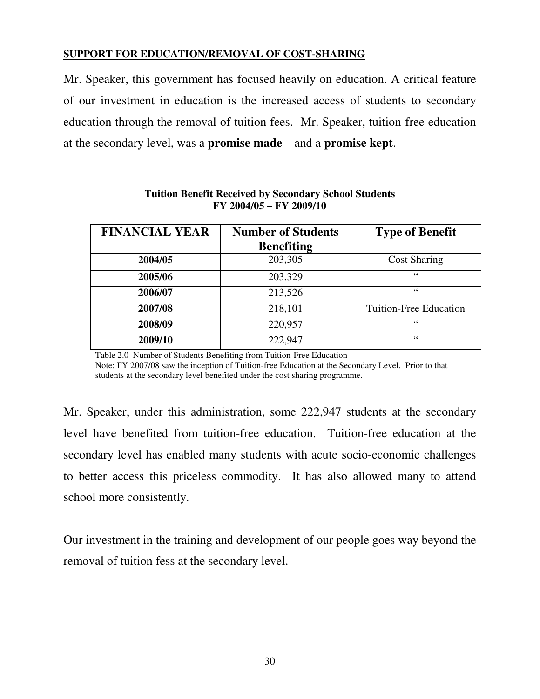#### **SUPPORT FOR EDUCATION/REMOVAL OF COST-SHARING**

Mr. Speaker, this government has focused heavily on education. A critical feature of our investment in education is the increased access of students to secondary education through the removal of tuition fees. Mr. Speaker, tuition-free education at the secondary level, was a **promise made** – and a **promise kept**.

| <b>FINANCIAL YEAR</b> | <b>Number of Students</b><br><b>Benefiting</b> | <b>Type of Benefit</b>        |
|-----------------------|------------------------------------------------|-------------------------------|
| 2004/05               | 203,305                                        | <b>Cost Sharing</b>           |
| 2005/06               | 203,329                                        | 66                            |
| 2006/07               | 213,526                                        | 66                            |
| 2007/08               | 218,101                                        | <b>Tuition-Free Education</b> |
| 2008/09               | 220,957                                        | 66                            |
| 2009/10               | 222,947                                        | 66                            |

**Tuition Benefit Received by Secondary School Students FY 2004/05 – FY 2009/10** 

Table 2.0 Number of Students Benefiting from Tuition-Free Education Note: FY 2007/08 saw the inception of Tuition-free Education at the Secondary Level. Prior to that students at the secondary level benefited under the cost sharing programme.

Mr. Speaker, under this administration, some 222,947 students at the secondary level have benefited from tuition-free education. Tuition-free education at the secondary level has enabled many students with acute socio-economic challenges to better access this priceless commodity. It has also allowed many to attend school more consistently.

Our investment in the training and development of our people goes way beyond the removal of tuition fess at the secondary level.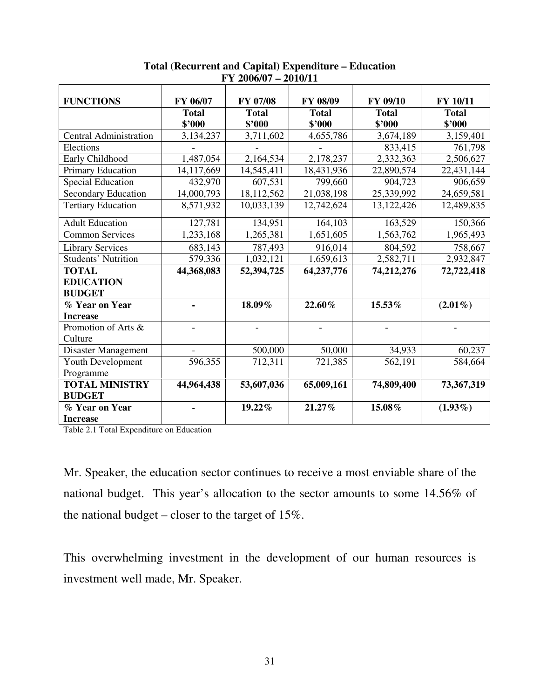| <b>FUNCTIONS</b>              | FY 06/07     | FY 07/08     | FY 08/09     | FY 09/10     | FY 10/11     |
|-------------------------------|--------------|--------------|--------------|--------------|--------------|
|                               | <b>Total</b> | <b>Total</b> | <b>Total</b> | <b>Total</b> | <b>Total</b> |
|                               | \$'000       | \$'000       | \$'000       | \$'000       | \$'000       |
| <b>Central Administration</b> | 3,134,237    | 3,711,602    | 4,655,786    | 3,674,189    | 3,159,401    |
| Elections                     |              |              |              | 833,415      | 761,798      |
| Early Childhood               | 1,487,054    | 2,164,534    | 2,178,237    | 2,332,363    | 2,506,627    |
| Primary Education             | 14,117,669   | 14,545,411   | 18,431,936   | 22,890,574   | 22,431,144   |
| <b>Special Education</b>      | 432,970      | 607,531      | 799,660      | 904,723      | 906,659      |
| Secondary Education           | 14,000,793   | 18,112,562   | 21,038,198   | 25,339,992   | 24,659,581   |
| <b>Tertiary Education</b>     | 8,571,932    | 10,033,139   | 12,742,624   | 13,122,426   | 12,489,835   |
| <b>Adult Education</b>        | 127,781      | 134,951      | 164,103      | 163,529      | 150,366      |
| <b>Common Services</b>        | 1,233,168    | 1,265,381    | 1,651,605    | 1,563,762    | 1,965,493    |
| <b>Library Services</b>       | 683,143      | 787,493      | 916,014      | 804,592      | 758,667      |
| <b>Students' Nutrition</b>    | 579,336      | 1,032,121    | 1,659,613    | 2,582,711    | 2,932,847    |
| <b>TOTAL</b>                  | 44,368,083   | 52,394,725   | 64,237,776   | 74,212,276   | 72,722,418   |
| <b>EDUCATION</b>              |              |              |              |              |              |
| <b>BUDGET</b>                 |              |              |              |              |              |
| % Year on Year                |              | 18.09%       | 22.60%       | 15.53%       | $(2.01\%)$   |
| <b>Increase</b>               |              |              |              |              |              |
| Promotion of Arts &           |              |              |              |              |              |
| Culture                       |              |              |              |              |              |
| Disaster Management           |              | 500,000      | 50,000       | 34,933       | 60,237       |
| Youth Development             | 596,355      | 712,311      | 721,385      | 562,191      | 584,664      |
| Programme                     |              |              |              |              |              |
| <b>TOTAL MINISTRY</b>         | 44,964,438   | 53,607,036   | 65,009,161   | 74,809,400   | 73,367,319   |
| <b>BUDGET</b>                 |              |              |              |              |              |
| % Year on Year                |              | 19.22%       | 21.27%       | 15.08%       | $(1.93\%)$   |
| <b>Increase</b>               |              |              |              |              |              |

**Total (Recurrent and Capital) Expenditure – Education FY 2006/07 – 2010/11** 

Table 2.1 Total Expenditure on Education

Mr. Speaker, the education sector continues to receive a most enviable share of the national budget. This year's allocation to the sector amounts to some 14.56% of the national budget – closer to the target of 15%.

This overwhelming investment in the development of our human resources is investment well made, Mr. Speaker.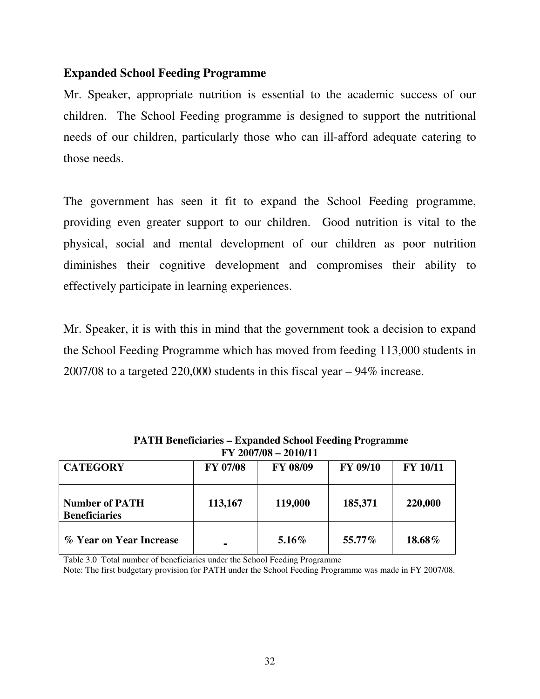## **Expanded School Feeding Programme**

Mr. Speaker, appropriate nutrition is essential to the academic success of our children. The School Feeding programme is designed to support the nutritional needs of our children, particularly those who can ill-afford adequate catering to those needs.

The government has seen it fit to expand the School Feeding programme, providing even greater support to our children. Good nutrition is vital to the physical, social and mental development of our children as poor nutrition diminishes their cognitive development and compromises their ability to effectively participate in learning experiences.

Mr. Speaker, it is with this in mind that the government took a decision to expand the School Feeding Programme which has moved from feeding 113,000 students in 2007/08 to a targeted 220,000 students in this fiscal year – 94% increase.

| $\bf{r}$ $\bf{r}$ $\bf{200700 - 2010711}$     |          |                 |                 |                 |  |
|-----------------------------------------------|----------|-----------------|-----------------|-----------------|--|
| <b>CATEGORY</b>                               | FY 07/08 | <b>FY 08/09</b> | <b>FY 09/10</b> | <b>FY 10/11</b> |  |
| <b>Number of PATH</b><br><b>Beneficiaries</b> | 113,167  | 119,000         | 185,371         | 220,000         |  |
| % Year on Year Increase                       |          | $5.16\%$        | 55.77%          | 18.68%          |  |

 **PATH Beneficiaries – Expanded School Feeding Programme FY 2007/08 – 2010/11** 

Table 3.0 Total number of beneficiaries under the School Feeding Programme

Note: The first budgetary provision for PATH under the School Feeding Programme was made in FY 2007/08.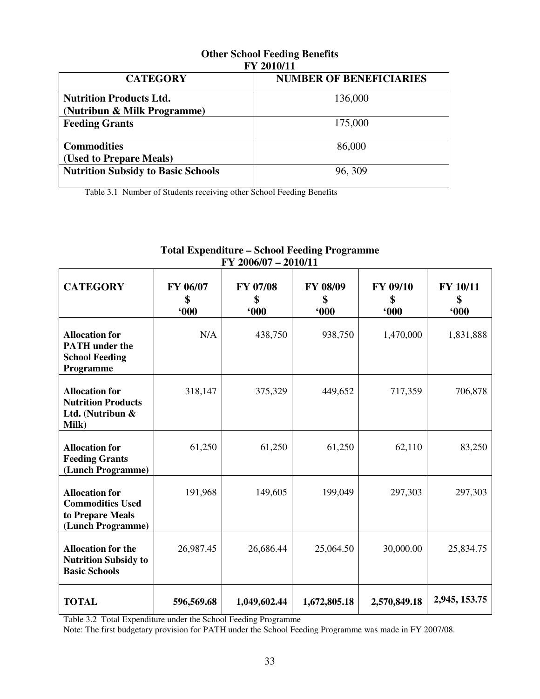| FY ZVIVII                                 |                                |  |  |  |
|-------------------------------------------|--------------------------------|--|--|--|
| <b>CATEGORY</b>                           | <b>NUMBER OF BENEFICIARIES</b> |  |  |  |
| <b>Nutrition Products Ltd.</b>            | 136,000                        |  |  |  |
| (Nutribun & Milk Programme)               |                                |  |  |  |
| <b>Feeding Grants</b>                     | 175,000                        |  |  |  |
| <b>Commodities</b>                        | 86,000                         |  |  |  |
| (Used to Prepare Meals)                   |                                |  |  |  |
| <b>Nutrition Subsidy to Basic Schools</b> | 96, 309                        |  |  |  |

#### **Other School Feeding Benefits FY 2010/11**

Table 3.1 Number of Students receiving other School Feeding Benefits

#### **FY 2006/07 – 2010/11 CATEGORY FY 06/07 \$ '000 FY 07/08 \$ '000 FY 08/09 \$ '000 FY 09/10 \$ '000 FY 10/11 \$ '000 Allocation for PATH under the School Feeding Programme**  N/A 438,750 938,750 1,470,000 1,831,888 **Allocation for Nutrition Products Ltd. (Nutribun & Milk)**  318,147 375,329 449,652 717,359 706,878 **Allocation for Feeding Grants (Lunch Programme)** 61,250 61,250 61,250 62,110 83,250 **Allocation for Commodities Used to Prepare Meals (Lunch Programme)** 191,968 149,605 199,049 297,303 297,303 **Allocation for the Nutrition Subsidy to Basic Schools**  26,987.45 26,686.44 25,064.50 30,000.00 25,834.75

# **Total Expenditure – School Feeding Programme**

Table 3.2 Total Expenditure under the School Feeding Programme

Note: The first budgetary provision for PATH under the School Feeding Programme was made in FY 2007/08.

**TOTAL 596,569.68 1,049,602.44 1,672,805.18 2,570,849.18 2,945, 153.75**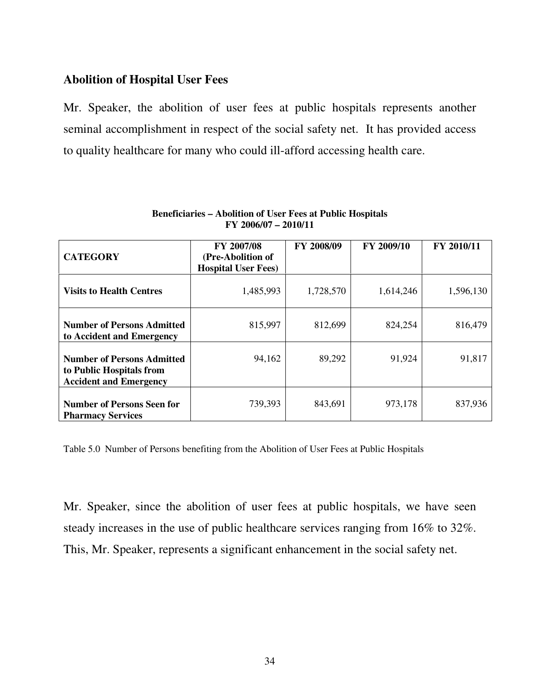# **Abolition of Hospital User Fees**

Mr. Speaker, the abolition of user fees at public hospitals represents another seminal accomplishment in respect of the social safety net. It has provided access to quality healthcare for many who could ill-afford accessing health care.

| <b>CATEGORY</b>                                                                                | FY 2007/08<br>(Pre-Abolition of<br><b>Hospital User Fees)</b> | FY 2008/09 | FY 2009/10 | FY 2010/11 |
|------------------------------------------------------------------------------------------------|---------------------------------------------------------------|------------|------------|------------|
| <b>Visits to Health Centres</b>                                                                | 1,485,993                                                     | 1,728,570  | 1,614,246  | 1,596,130  |
| <b>Number of Persons Admitted</b><br>to Accident and Emergency                                 | 815,997                                                       | 812,699    | 824,254    | 816,479    |
| <b>Number of Persons Admitted</b><br>to Public Hospitals from<br><b>Accident and Emergency</b> | 94,162                                                        | 89,292     | 91,924     | 91,817     |
| <b>Number of Persons Seen for</b><br><b>Pharmacy Services</b>                                  | 739,393                                                       | 843,691    | 973,178    | 837,936    |

#### **Beneficiaries – Abolition of User Fees at Public Hospitals FY 2006/07 – 2010/11**

Table 5.0 Number of Persons benefiting from the Abolition of User Fees at Public Hospitals

Mr. Speaker, since the abolition of user fees at public hospitals, we have seen steady increases in the use of public healthcare services ranging from 16% to 32%. This, Mr. Speaker, represents a significant enhancement in the social safety net.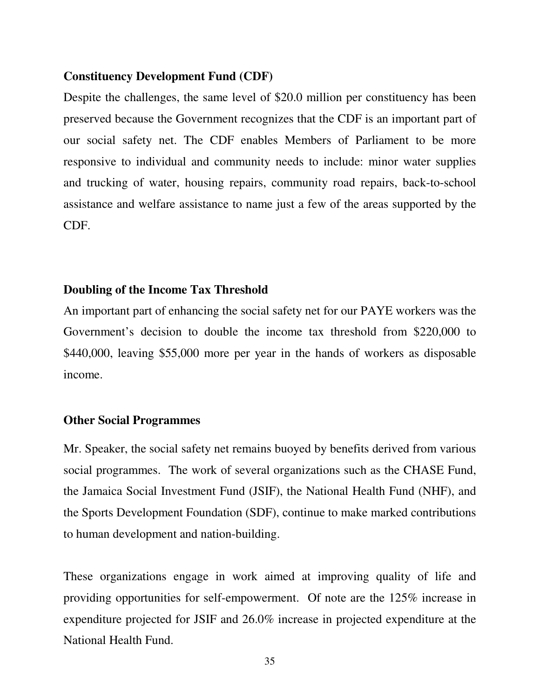#### **Constituency Development Fund (CDF)**

Despite the challenges, the same level of \$20.0 million per constituency has been preserved because the Government recognizes that the CDF is an important part of our social safety net. The CDF enables Members of Parliament to be more responsive to individual and community needs to include: minor water supplies and trucking of water, housing repairs, community road repairs, back-to-school assistance and welfare assistance to name just a few of the areas supported by the CDF.

#### **Doubling of the Income Tax Threshold**

An important part of enhancing the social safety net for our PAYE workers was the Government's decision to double the income tax threshold from \$220,000 to \$440,000, leaving \$55,000 more per year in the hands of workers as disposable income.

#### **Other Social Programmes**

Mr. Speaker, the social safety net remains buoyed by benefits derived from various social programmes. The work of several organizations such as the CHASE Fund, the Jamaica Social Investment Fund (JSIF), the National Health Fund (NHF), and the Sports Development Foundation (SDF), continue to make marked contributions to human development and nation-building.

These organizations engage in work aimed at improving quality of life and providing opportunities for self-empowerment. Of note are the 125% increase in expenditure projected for JSIF and 26.0% increase in projected expenditure at the National Health Fund.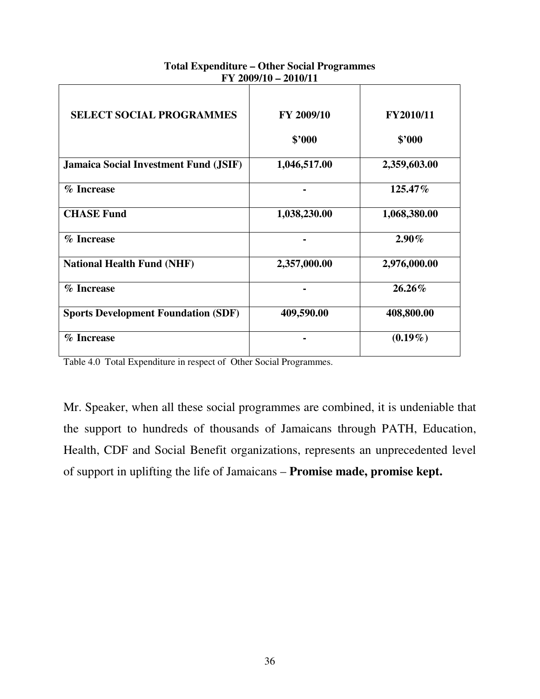| <b>SELECT SOCIAL PROGRAMMES</b>              | FY 2009/10   | FY2010/11    |
|----------------------------------------------|--------------|--------------|
|                                              | \$2000       | \$2000       |
| <b>Jamaica Social Investment Fund (JSIF)</b> | 1,046,517.00 | 2,359,603.00 |
| % Increase                                   |              | 125.47%      |
| <b>CHASE Fund</b>                            | 1,038,230.00 | 1,068,380.00 |
| % Increase                                   |              | $2.90\%$     |
| <b>National Health Fund (NHF)</b>            | 2,357,000.00 | 2,976,000.00 |
| % Increase                                   |              | 26.26%       |
| <b>Sports Development Foundation (SDF)</b>   | 409,590.00   | 408,800.00   |
| % Increase                                   |              | $(0.19\%)$   |

#### **Total Expenditure – Other Social Programmes FY 2009/10 – 2010/11**

Table 4.0 Total Expenditure in respect of Other Social Programmes.

Mr. Speaker, when all these social programmes are combined, it is undeniable that the support to hundreds of thousands of Jamaicans through PATH, Education, Health, CDF and Social Benefit organizations, represents an unprecedented level of support in uplifting the life of Jamaicans – **Promise made, promise kept.**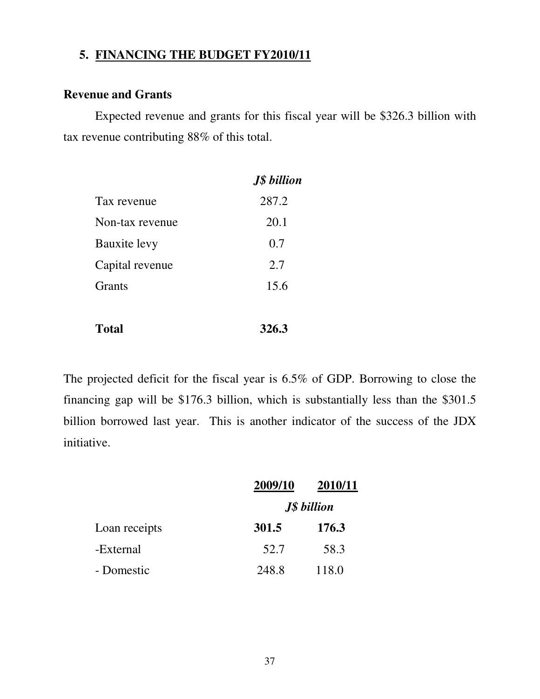# **5. FINANCING THE BUDGET FY2010/11**

# **Revenue and Grants**

Expected revenue and grants for this fiscal year will be \$326.3 billion with tax revenue contributing 88% of this total.

|                     | <b>J\$</b> billion |
|---------------------|--------------------|
| Tax revenue         | 287.2              |
| Non-tax revenue     | 20.1               |
| <b>Bauxite levy</b> | 0.7                |
| Capital revenue     | 2.7                |
| Grants              | 15.6               |
|                     |                    |

**Total 326.3** 

The projected deficit for the fiscal year is 6.5% of GDP. Borrowing to close the financing gap will be \$176.3 billion, which is substantially less than the \$301.5 billion borrowed last year. This is another indicator of the success of the JDX initiative.

|               | 2009/10            | 2010/11 |
|---------------|--------------------|---------|
|               | <b>J\$</b> billion |         |
| Loan receipts | 301.5              | 176.3   |
| -External     | 52.7               | 58.3    |
| - Domestic    | 248.8              | 118.0   |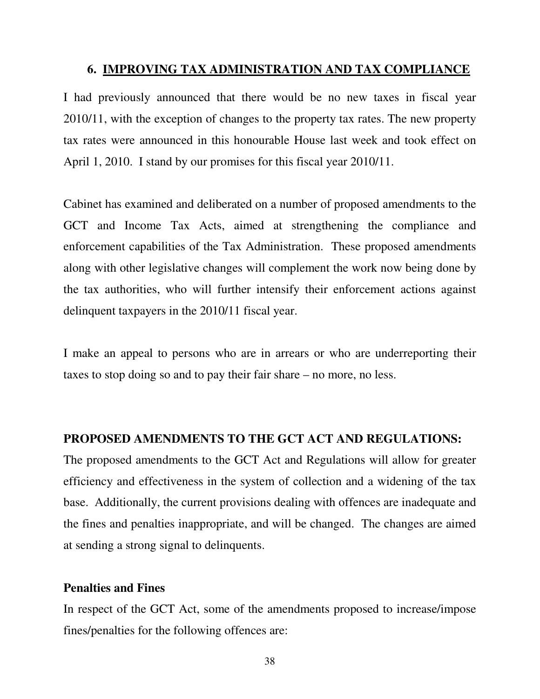# **6. IMPROVING TAX ADMINISTRATION AND TAX COMPLIANCE**

I had previously announced that there would be no new taxes in fiscal year 2010/11, with the exception of changes to the property tax rates. The new property tax rates were announced in this honourable House last week and took effect on April 1, 2010. I stand by our promises for this fiscal year 2010/11.

Cabinet has examined and deliberated on a number of proposed amendments to the GCT and Income Tax Acts, aimed at strengthening the compliance and enforcement capabilities of the Tax Administration. These proposed amendments along with other legislative changes will complement the work now being done by the tax authorities, who will further intensify their enforcement actions against delinquent taxpayers in the 2010/11 fiscal year.

I make an appeal to persons who are in arrears or who are underreporting their taxes to stop doing so and to pay their fair share – no more, no less.

#### **PROPOSED AMENDMENTS TO THE GCT ACT AND REGULATIONS:**

The proposed amendments to the GCT Act and Regulations will allow for greater efficiency and effectiveness in the system of collection and a widening of the tax base. Additionally, the current provisions dealing with offences are inadequate and the fines and penalties inappropriate, and will be changed. The changes are aimed at sending a strong signal to delinquents.

#### **Penalties and Fines**

In respect of the GCT Act, some of the amendments proposed to increase/impose fines/penalties for the following offences are: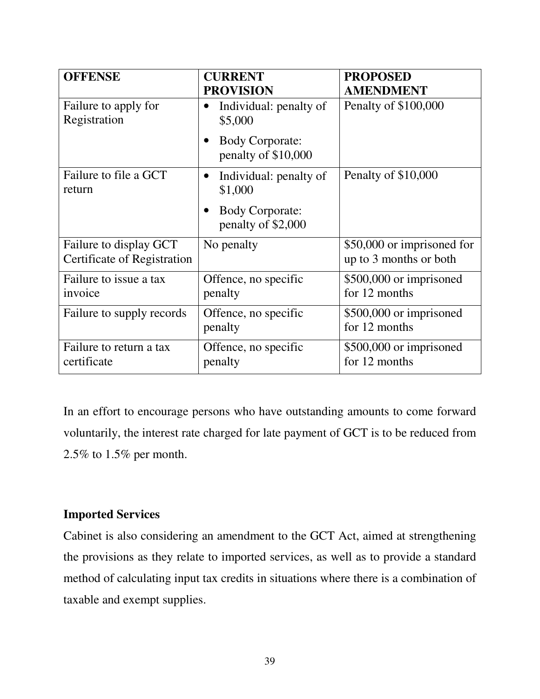| <b>OFFENSE</b>                                        | <b>CURRENT</b><br><b>PROVISION</b>                         | <b>PROPOSED</b><br><b>AMENDMENT</b>                  |
|-------------------------------------------------------|------------------------------------------------------------|------------------------------------------------------|
| Failure to apply for<br>Registration                  | Individual: penalty of<br>$\bullet$<br>\$5,000             | Penalty of \$100,000                                 |
|                                                       | <b>Body Corporate:</b><br>$\bullet$<br>penalty of \$10,000 |                                                      |
| Failure to file a GCT<br>return                       | Individual: penalty of<br>$\bullet$<br>\$1,000             | Penalty of \$10,000                                  |
|                                                       | <b>Body Corporate:</b><br>penalty of \$2,000               |                                                      |
| Failure to display GCT<br>Certificate of Registration | No penalty                                                 | \$50,000 or imprisoned for<br>up to 3 months or both |
| Failure to issue a tax<br>invoice                     | Offence, no specific<br>penalty                            | \$500,000 or imprisoned<br>for 12 months             |
| Failure to supply records                             | Offence, no specific<br>penalty                            | \$500,000 or imprisoned<br>for 12 months             |
| Failure to return a tax<br>certificate                | Offence, no specific<br>penalty                            | \$500,000 or imprisoned<br>for 12 months             |

In an effort to encourage persons who have outstanding amounts to come forward voluntarily, the interest rate charged for late payment of GCT is to be reduced from 2.5% to 1.5% per month.

# **Imported Services**

Cabinet is also considering an amendment to the GCT Act, aimed at strengthening the provisions as they relate to imported services, as well as to provide a standard method of calculating input tax credits in situations where there is a combination of taxable and exempt supplies.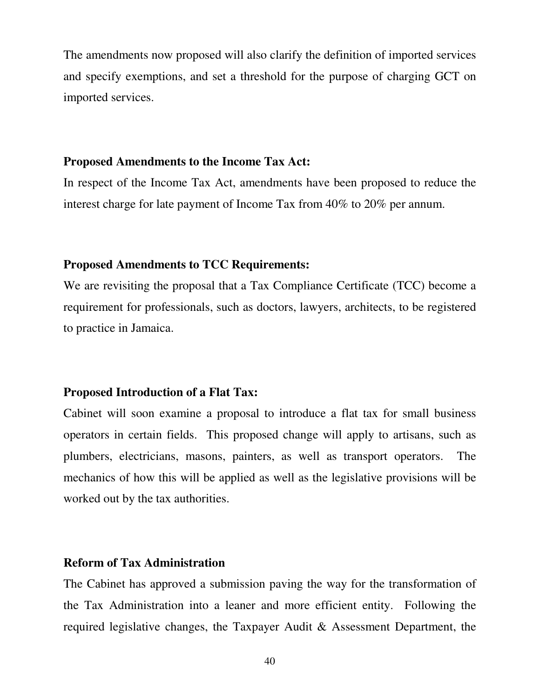The amendments now proposed will also clarify the definition of imported services and specify exemptions, and set a threshold for the purpose of charging GCT on imported services.

#### **Proposed Amendments to the Income Tax Act:**

In respect of the Income Tax Act, amendments have been proposed to reduce the interest charge for late payment of Income Tax from 40% to 20% per annum.

# **Proposed Amendments to TCC Requirements:**

We are revisiting the proposal that a Tax Compliance Certificate (TCC) become a requirement for professionals, such as doctors, lawyers, architects, to be registered to practice in Jamaica.

#### **Proposed Introduction of a Flat Tax:**

Cabinet will soon examine a proposal to introduce a flat tax for small business operators in certain fields. This proposed change will apply to artisans, such as plumbers, electricians, masons, painters, as well as transport operators. The mechanics of how this will be applied as well as the legislative provisions will be worked out by the tax authorities.

#### **Reform of Tax Administration**

The Cabinet has approved a submission paving the way for the transformation of the Tax Administration into a leaner and more efficient entity. Following the required legislative changes, the Taxpayer Audit & Assessment Department, the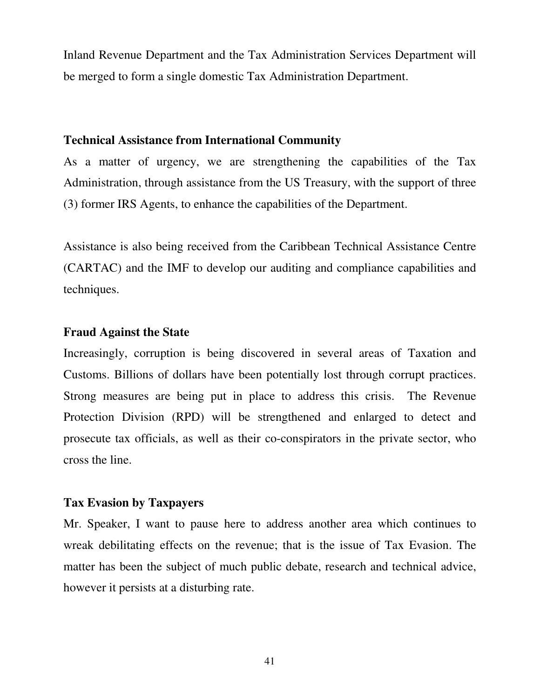Inland Revenue Department and the Tax Administration Services Department will be merged to form a single domestic Tax Administration Department.

#### **Technical Assistance from International Community**

As a matter of urgency, we are strengthening the capabilities of the Tax Administration, through assistance from the US Treasury, with the support of three (3) former IRS Agents, to enhance the capabilities of the Department.

Assistance is also being received from the Caribbean Technical Assistance Centre (CARTAC) and the IMF to develop our auditing and compliance capabilities and techniques.

#### **Fraud Against the State**

Increasingly, corruption is being discovered in several areas of Taxation and Customs. Billions of dollars have been potentially lost through corrupt practices. Strong measures are being put in place to address this crisis. The Revenue Protection Division (RPD) will be strengthened and enlarged to detect and prosecute tax officials, as well as their co-conspirators in the private sector, who cross the line.

#### **Tax Evasion by Taxpayers**

Mr. Speaker, I want to pause here to address another area which continues to wreak debilitating effects on the revenue; that is the issue of Tax Evasion. The matter has been the subject of much public debate, research and technical advice, however it persists at a disturbing rate.

41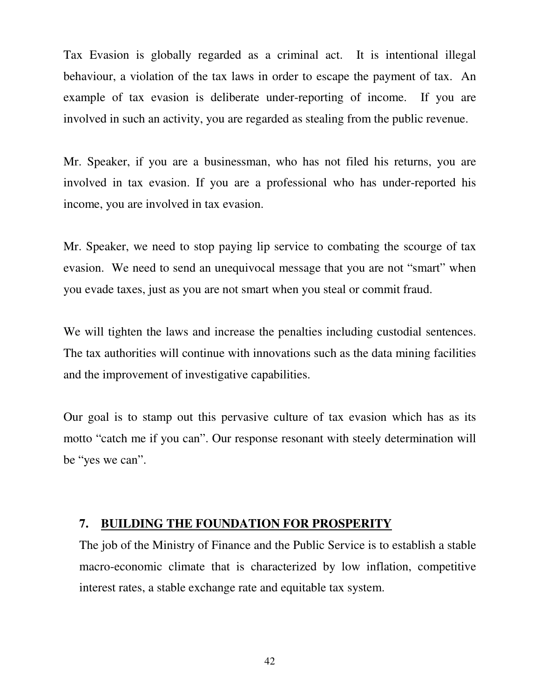Tax Evasion is globally regarded as a criminal act. It is intentional illegal behaviour, a violation of the tax laws in order to escape the payment of tax. An example of tax evasion is deliberate under-reporting of income. If you are involved in such an activity, you are regarded as stealing from the public revenue.

Mr. Speaker, if you are a businessman, who has not filed his returns, you are involved in tax evasion. If you are a professional who has under-reported his income, you are involved in tax evasion.

Mr. Speaker, we need to stop paying lip service to combating the scourge of tax evasion. We need to send an unequivocal message that you are not "smart" when you evade taxes, just as you are not smart when you steal or commit fraud.

We will tighten the laws and increase the penalties including custodial sentences. The tax authorities will continue with innovations such as the data mining facilities and the improvement of investigative capabilities.

Our goal is to stamp out this pervasive culture of tax evasion which has as its motto "catch me if you can". Our response resonant with steely determination will be "yes we can".

#### **7. BUILDING THE FOUNDATION FOR PROSPERITY**

The job of the Ministry of Finance and the Public Service is to establish a stable macro-economic climate that is characterized by low inflation, competitive interest rates, a stable exchange rate and equitable tax system.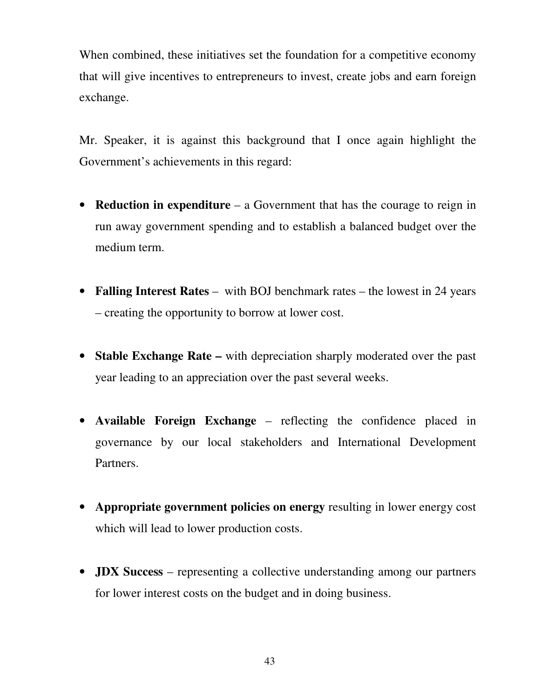When combined, these initiatives set the foundation for a competitive economy that will give incentives to entrepreneurs to invest, create jobs and earn foreign exchange.

Mr. Speaker, it is against this background that I once again highlight the Government's achievements in this regard:

- **Reduction in expenditure** a Government that has the courage to reign in run away government spending and to establish a balanced budget over the medium term.
- **Falling Interest Rates** with BOJ benchmark rates the lowest in 24 years – creating the opportunity to borrow at lower cost.
- **Stable Exchange Rate** with depreciation sharply moderated over the past year leading to an appreciation over the past several weeks.
- **Available Foreign Exchange** reflecting the confidence placed in governance by our local stakeholders and International Development Partners.
- **Appropriate government policies on energy** resulting in lower energy cost which will lead to lower production costs.
- **JDX Success** representing a collective understanding among our partners for lower interest costs on the budget and in doing business.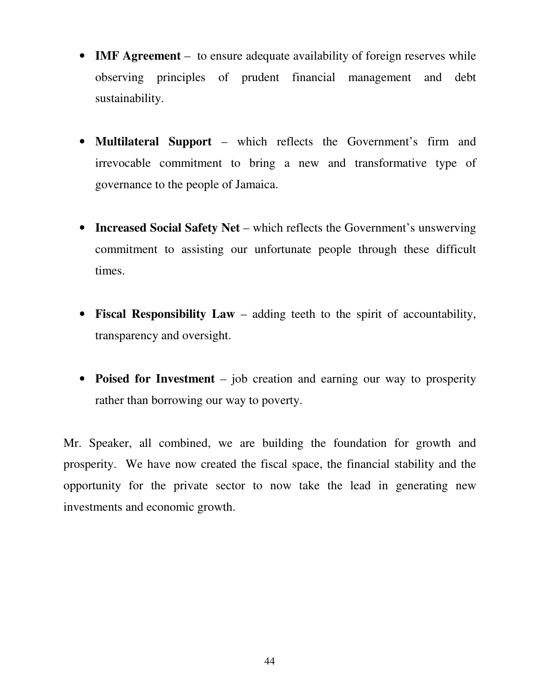- **IMF Agreement** to ensure adequate availability of foreign reserves while observing principles of prudent financial management and debt sustainability.
- **Multilateral Support** which reflects the Government's firm and irrevocable commitment to bring a new and transformative type of governance to the people of Jamaica.
- **Increased Social Safety Net** which reflects the Government's unswerving commitment to assisting our unfortunate people through these difficult times.
- **Fiscal Responsibility Law** adding teeth to the spirit of accountability, transparency and oversight.
- **Poised for Investment** job creation and earning our way to prosperity rather than borrowing our way to poverty.

Mr. Speaker, all combined, we are building the foundation for growth and prosperity. We have now created the fiscal space, the financial stability and the opportunity for the private sector to now take the lead in generating new investments and economic growth.